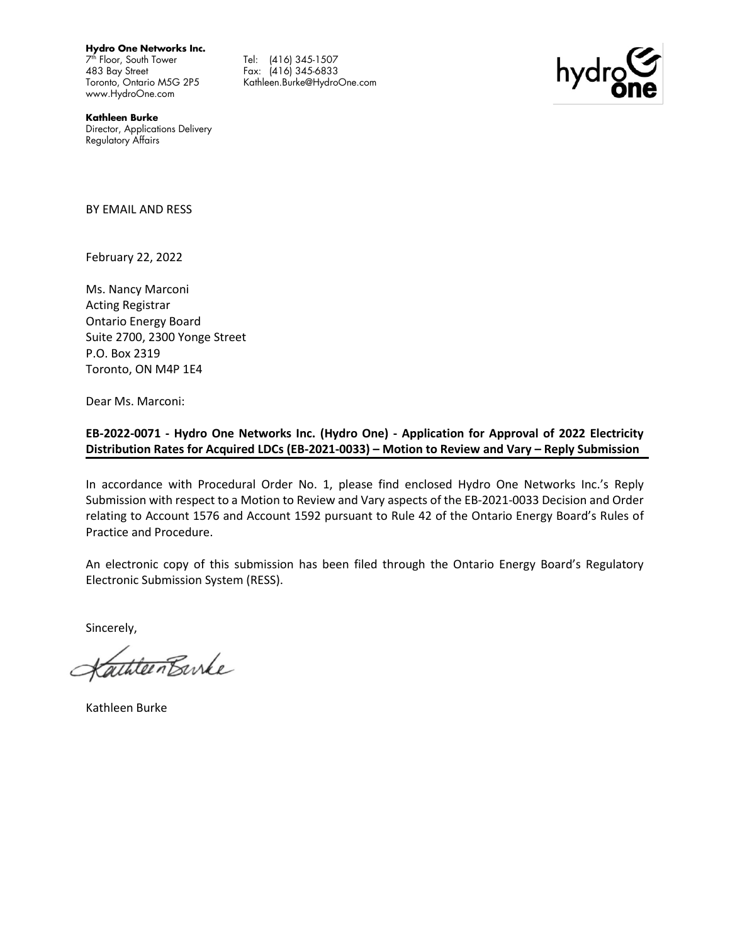**Hydro One Networks Inc.** 7 th Floor, South Tower 483 Bay Street Toronto, Ontario M5G 2P5

www.HydroOne.com

Tel: (416) 345-1507 Fax: (416) 345-6833 Kathleen.Burke@HydroOne.com



**Kathleen Burke** Director, Applications Delivery Regulatory Affairs

BY EMAIL AND RESS

February 22, 2022

Ms. Nancy Marconi Acting Registrar Ontario Energy Board Suite 2700, 2300 Yonge Street P.O. Box 2319 Toronto, ON M4P 1E4

Dear Ms. Marconi:

### **EB-2022-0071 - Hydro One Networks Inc. (Hydro One) - Application for Approval of 2022 Electricity Distribution Rates for Acquired LDCs (EB-2021-0033) – Motion to Review and Vary – Reply Submission**

In accordance with Procedural Order No. 1, please find enclosed Hydro One Networks Inc.'s Reply Submission with respect to a Motion to Review and Vary aspects of the EB-2021-0033 Decision and Order relating to Account 1576 and Account 1592 pursuant to Rule 42 of the Ontario Energy Board's Rules of Practice and Procedure.

An electronic copy of this submission has been filed through the Ontario Energy Board's Regulatory Electronic Submission System (RESS).

Sincerely,

KathleenBurke

Kathleen Burke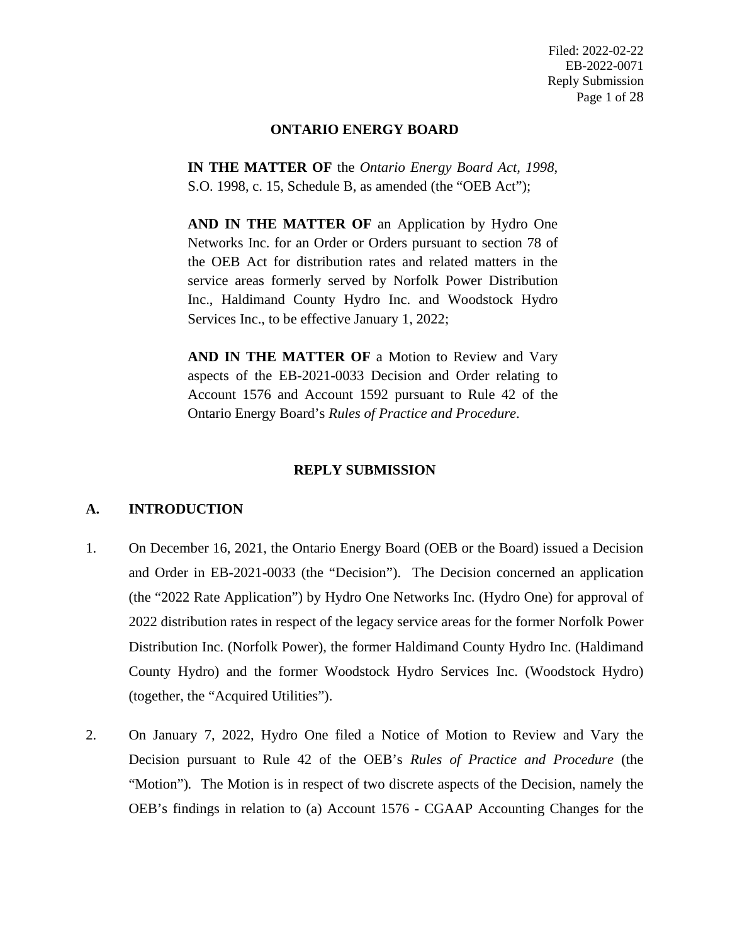## **ONTARIO ENERGY BOARD**

**IN THE MATTER OF** the *Ontario Energy Board Act, 1998*, S.O. 1998, c. 15, Schedule B, as amended (the "OEB Act");

**AND IN THE MATTER OF** an Application by Hydro One Networks Inc. for an Order or Orders pursuant to section 78 of the OEB Act for distribution rates and related matters in the service areas formerly served by Norfolk Power Distribution Inc., Haldimand County Hydro Inc. and Woodstock Hydro Services Inc., to be effective January 1, 2022;

**AND IN THE MATTER OF** a Motion to Review and Vary aspects of the EB-2021-0033 Decision and Order relating to Account 1576 and Account 1592 pursuant to Rule 42 of the Ontario Energy Board's *Rules of Practice and Procedure*.

## **REPLY SUBMISSION**

## **A. INTRODUCTION**

- 1. On December 16, 2021, the Ontario Energy Board (OEB or the Board) issued a Decision and Order in EB-2021-0033 (the "Decision"). The Decision concerned an application (the "2022 Rate Application") by Hydro One Networks Inc. (Hydro One) for approval of 2022 distribution rates in respect of the legacy service areas for the former Norfolk Power Distribution Inc. (Norfolk Power), the former Haldimand County Hydro Inc. (Haldimand County Hydro) and the former Woodstock Hydro Services Inc. (Woodstock Hydro) (together, the "Acquired Utilities").
- 2. On January 7, 2022, Hydro One filed a Notice of Motion to Review and Vary the Decision pursuant to Rule 42 of the OEB's *Rules of Practice and Procedure* (the "Motion")*.* The Motion is in respect of two discrete aspects of the Decision, namely the OEB's findings in relation to (a) Account 1576 - CGAAP Accounting Changes for the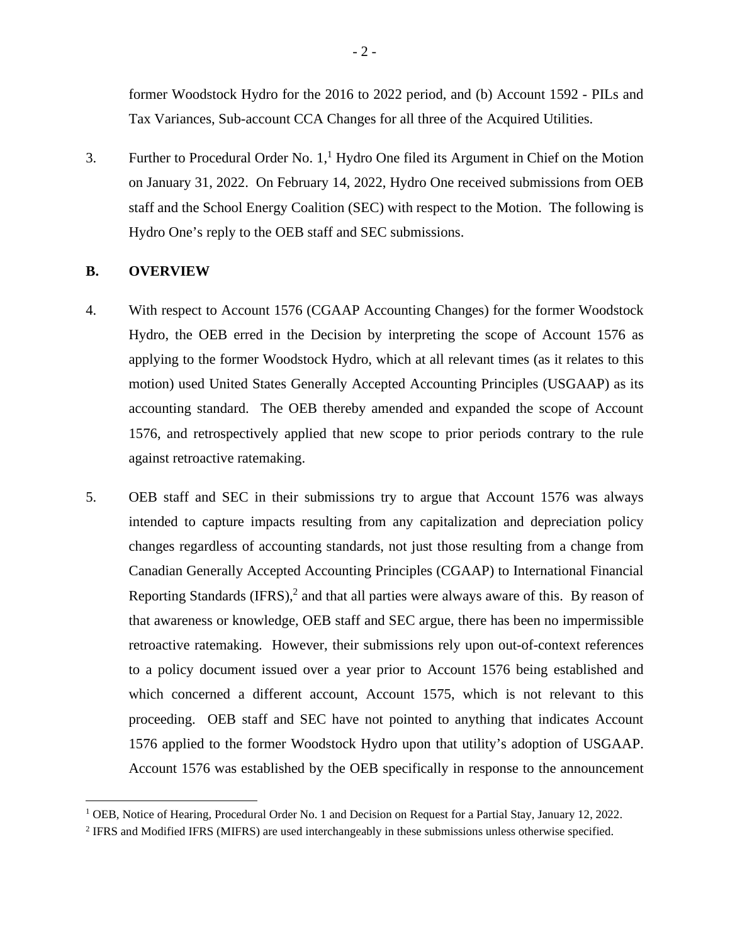former Woodstock Hydro for the 2016 to 2022 period, and (b) Account 1592 - PILs and Tax Variances, Sub-account CCA Changes for all three of the Acquired Utilities.

3. Further to Procedural Order No.  $1$ ,  $\frac{1}{1}$  Hydro One filed its Argument in Chief on the Motion on January 31, 2022. On February 14, 2022, Hydro One received submissions from OEB staff and the School Energy Coalition (SEC) with respect to the Motion. The following is Hydro One's reply to the OEB staff and SEC submissions.

## **B. OVERVIEW**

- 4. With respect to Account 1576 (CGAAP Accounting Changes) for the former Woodstock Hydro, the OEB erred in the Decision by interpreting the scope of Account 1576 as applying to the former Woodstock Hydro, which at all relevant times (as it relates to this motion) used United States Generally Accepted Accounting Principles (USGAAP) as its accounting standard. The OEB thereby amended and expanded the scope of Account 1576, and retrospectively applied that new scope to prior periods contrary to the rule against retroactive ratemaking.
- 5. OEB staff and SEC in their submissions try to argue that Account 1576 was always intended to capture impacts resulting from any capitalization and depreciation policy changes regardless of accounting standards, not just those resulting from a change from Canadian Generally Accepted Accounting Principles (CGAAP) to International Financial Reporting Standards  $(IFRS)<sup>2</sup>$  $(IFRS)<sup>2</sup>$  $(IFRS)<sup>2</sup>$  and that all parties were always aware of this. By reason of that awareness or knowledge, OEB staff and SEC argue, there has been no impermissible retroactive ratemaking. However, their submissions rely upon out-of-context references to a policy document issued over a year prior to Account 1576 being established and which concerned a different account, Account 1575, which is not relevant to this proceeding. OEB staff and SEC have not pointed to anything that indicates Account 1576 applied to the former Woodstock Hydro upon that utility's adoption of USGAAP. Account 1576 was established by the OEB specifically in response to the announcement

<span id="page-2-1"></span><span id="page-2-0"></span><sup>&</sup>lt;sup>1</sup> OEB, Notice of Hearing, Procedural Order No. 1 and Decision on Request for a Partial Stay, January 12, 2022.

<sup>&</sup>lt;sup>2</sup> IFRS and Modified IFRS (MIFRS) are used interchangeably in these submissions unless otherwise specified.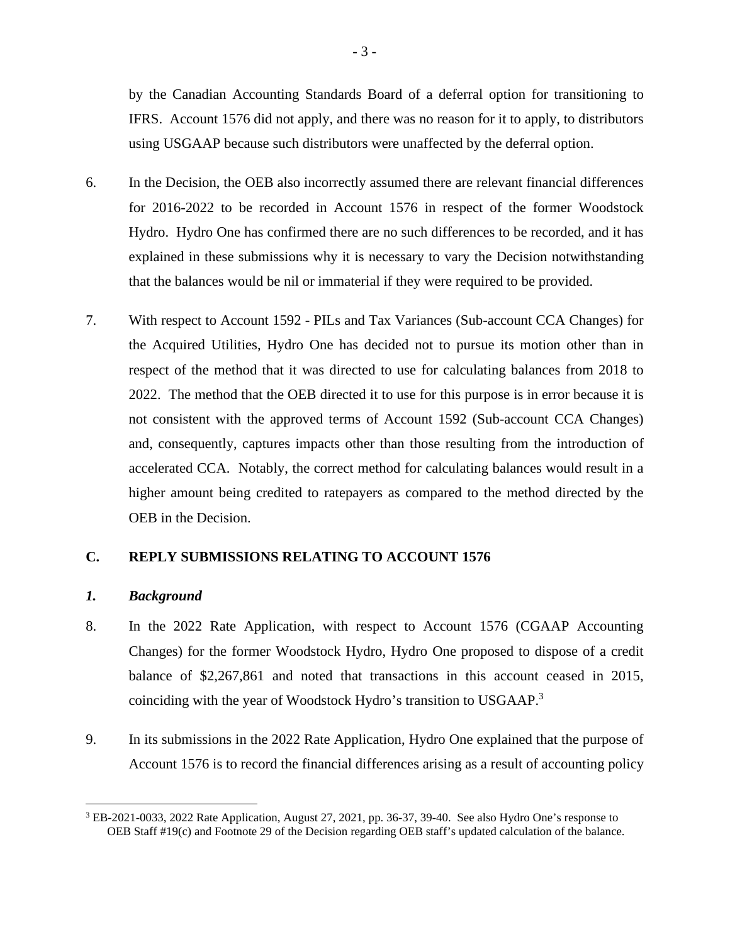by the Canadian Accounting Standards Board of a deferral option for transitioning to IFRS. Account 1576 did not apply, and there was no reason for it to apply, to distributors using USGAAP because such distributors were unaffected by the deferral option.

- 6. In the Decision, the OEB also incorrectly assumed there are relevant financial differences for 2016-2022 to be recorded in Account 1576 in respect of the former Woodstock Hydro. Hydro One has confirmed there are no such differences to be recorded, and it has explained in these submissions why it is necessary to vary the Decision notwithstanding that the balances would be nil or immaterial if they were required to be provided.
- 7. With respect to Account 1592 PILs and Tax Variances (Sub-account CCA Changes) for the Acquired Utilities, Hydro One has decided not to pursue its motion other than in respect of the method that it was directed to use for calculating balances from 2018 to 2022. The method that the OEB directed it to use for this purpose is in error because it is not consistent with the approved terms of Account 1592 (Sub-account CCA Changes) and, consequently, captures impacts other than those resulting from the introduction of accelerated CCA. Notably, the correct method for calculating balances would result in a higher amount being credited to ratepayers as compared to the method directed by the OEB in the Decision.

# **C. REPLY SUBMISSIONS RELATING TO ACCOUNT 1576**

#### *1. Background*

- 8. In the 2022 Rate Application, with respect to Account 1576 (CGAAP Accounting Changes) for the former Woodstock Hydro, Hydro One proposed to dispose of a credit balance of \$2,267,861 and noted that transactions in this account ceased in 2015, coinciding with the year of Woodstock Hydro's transition to USGAAP.<sup>[3](#page-3-0)</sup>
- 9. In its submissions in the 2022 Rate Application, Hydro One explained that the purpose of Account 1576 is to record the financial differences arising as a result of accounting policy

<span id="page-3-0"></span> $3$  EB-2021-0033, 2022 Rate Application, August 27, 2021, pp. 36-37, 39-40. See also Hydro One's response to OEB Staff #19(c) and Footnote 29 of the Decision regarding OEB staff's updated calculation of the balance.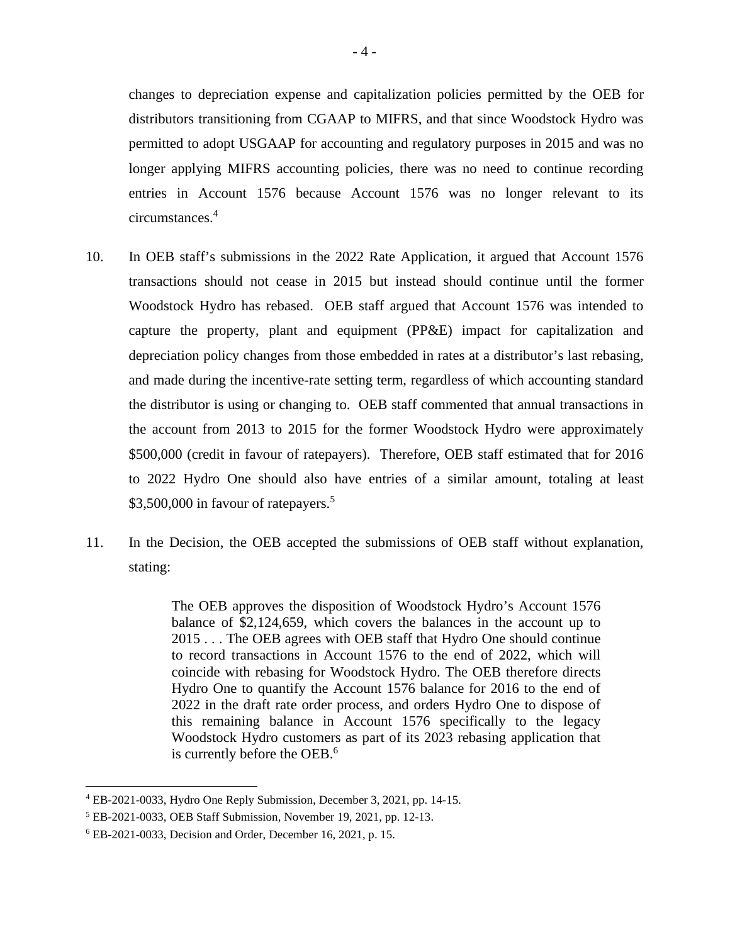changes to depreciation expense and capitalization policies permitted by the OEB for distributors transitioning from CGAAP to MIFRS, and that since Woodstock Hydro was permitted to adopt USGAAP for accounting and regulatory purposes in 2015 and was no longer applying MIFRS accounting policies, there was no need to continue recording entries in Account 1576 because Account 1576 was no longer relevant to its circumstances.[4](#page-4-0)

- 10. In OEB staff's submissions in the 2022 Rate Application, it argued that Account 1576 transactions should not cease in 2015 but instead should continue until the former Woodstock Hydro has rebased. OEB staff argued that Account 1576 was intended to capture the property, plant and equipment (PP&E) impact for capitalization and depreciation policy changes from those embedded in rates at a distributor's last rebasing, and made during the incentive-rate setting term, regardless of which accounting standard the distributor is using or changing to. OEB staff commented that annual transactions in the account from 2013 to 2015 for the former Woodstock Hydro were approximately \$500,000 (credit in favour of ratepayers). Therefore, OEB staff estimated that for 2016 to 2022 Hydro One should also have entries of a similar amount, totaling at least \$3,[5](#page-4-1)00,000 in favour of ratepayers.<sup>5</sup>
- 11. In the Decision, the OEB accepted the submissions of OEB staff without explanation, stating:

The OEB approves the disposition of Woodstock Hydro's Account 1576 balance of \$2,124,659, which covers the balances in the account up to 2015 . . . The OEB agrees with OEB staff that Hydro One should continue to record transactions in Account 1576 to the end of 2022, which will coincide with rebasing for Woodstock Hydro. The OEB therefore directs Hydro One to quantify the Account 1576 balance for 2016 to the end of 2022 in the draft rate order process, and orders Hydro One to dispose of this remaining balance in Account 1576 specifically to the legacy Woodstock Hydro customers as part of its 2023 rebasing application that is currently before the OEB.<sup>[6](#page-4-2)</sup>

<span id="page-4-1"></span><span id="page-4-0"></span><sup>4</sup> EB-2021-0033, Hydro One Reply Submission, December 3, 2021, pp. 14-15.

<span id="page-4-2"></span><sup>5</sup> EB-2021-0033, OEB Staff Submission, November 19, 2021, pp. 12-13.

<sup>6</sup> EB-2021-0033, Decision and Order, December 16, 2021, p. 15.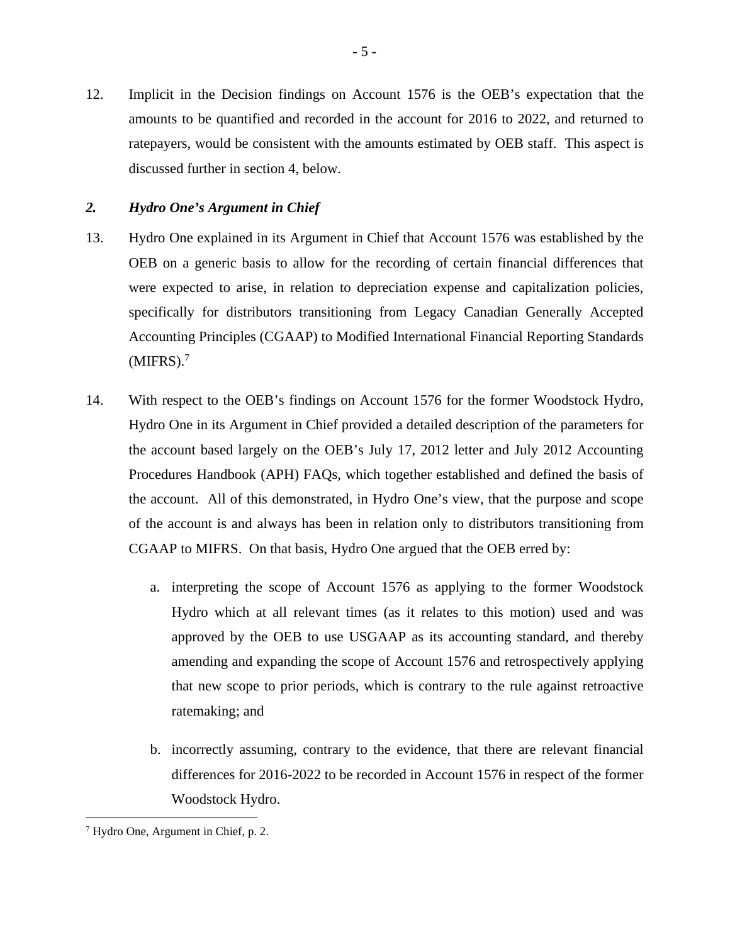12. Implicit in the Decision findings on Account 1576 is the OEB's expectation that the amounts to be quantified and recorded in the account for 2016 to 2022, and returned to ratepayers, would be consistent with the amounts estimated by OEB staff. This aspect is discussed further in section [4,](#page-20-0) below.

# *2. Hydro One's Argument in Chief*

- 13. Hydro One explained in its Argument in Chief that Account 1576 was established by the OEB on a generic basis to allow for the recording of certain financial differences that were expected to arise, in relation to depreciation expense and capitalization policies, specifically for distributors transitioning from Legacy Canadian Generally Accepted Accounting Principles (CGAAP) to Modified International Financial Reporting Standards  $(MIFRS).<sup>7</sup>$  $(MIFRS).<sup>7</sup>$  $(MIFRS).<sup>7</sup>$
- 14. With respect to the OEB's findings on Account 1576 for the former Woodstock Hydro, Hydro One in its Argument in Chief provided a detailed description of the parameters for the account based largely on the OEB's July 17, 2012 letter and July 2012 Accounting Procedures Handbook (APH) FAQs, which together established and defined the basis of the account. All of this demonstrated, in Hydro One's view, that the purpose and scope of the account is and always has been in relation only to distributors transitioning from CGAAP to MIFRS. On that basis, Hydro One argued that the OEB erred by:
	- a. interpreting the scope of Account 1576 as applying to the former Woodstock Hydro which at all relevant times (as it relates to this motion) used and was approved by the OEB to use USGAAP as its accounting standard, and thereby amending and expanding the scope of Account 1576 and retrospectively applying that new scope to prior periods, which is contrary to the rule against retroactive ratemaking; and
	- b. incorrectly assuming, contrary to the evidence, that there are relevant financial differences for 2016-2022 to be recorded in Account 1576 in respect of the former Woodstock Hydro.

<span id="page-5-0"></span><sup>7</sup> Hydro One, Argument in Chief, p. 2.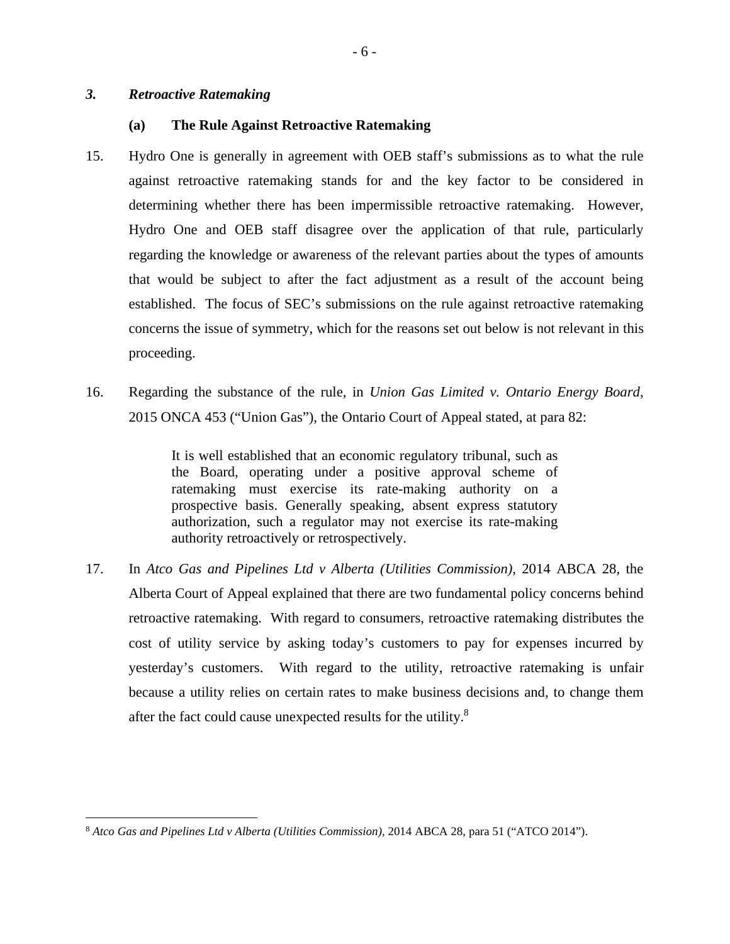# *3. Retroactive Ratemaking*

#### **(a) The Rule Against Retroactive Ratemaking**

- 15. Hydro One is generally in agreement with OEB staff's submissions as to what the rule against retroactive ratemaking stands for and the key factor to be considered in determining whether there has been impermissible retroactive ratemaking. However, Hydro One and OEB staff disagree over the application of that rule, particularly regarding the knowledge or awareness of the relevant parties about the types of amounts that would be subject to after the fact adjustment as a result of the account being established. The focus of SEC's submissions on the rule against retroactive ratemaking concerns the issue of symmetry, which for the reasons set out below is not relevant in this proceeding.
- 16. Regarding the substance of the rule, in *Union Gas Limited v. Ontario Energy Board*, 2015 ONCA 453 ("Union Gas"), the Ontario Court of Appeal stated, at para 82:

It is well established that an economic regulatory tribunal, such as the Board, operating under a positive approval scheme of ratemaking must exercise its rate-making authority on a prospective basis. Generally speaking, absent express statutory authorization, such a regulator may not exercise its rate-making authority retroactively or retrospectively.

17. In *Atco Gas and Pipelines Ltd v Alberta (Utilities Commission)*, 2014 ABCA 28, the Alberta Court of Appeal explained that there are two fundamental policy concerns behind retroactive ratemaking. With regard to consumers, retroactive ratemaking distributes the cost of utility service by asking today's customers to pay for expenses incurred by yesterday's customers. With regard to the utility, retroactive ratemaking is unfair because a utility relies on certain rates to make business decisions and, to change them after the fact could cause unexpected results for the utility.<sup>[8](#page-6-0)</sup>

<span id="page-6-0"></span><sup>8</sup> *Atco Gas and Pipelines Ltd v Alberta (Utilities Commission)*, 2014 ABCA 28, para 51 ("ATCO 2014").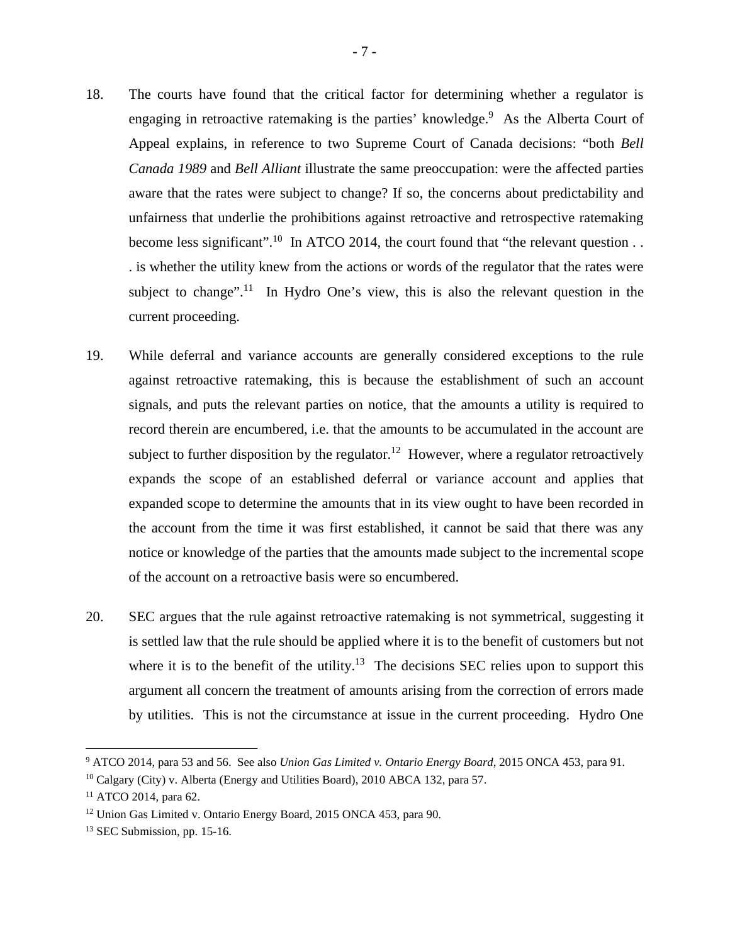- 18. The courts have found that the critical factor for determining whether a regulator is engaging in retroactive ratemaking is the parties' knowledge.<sup>[9](#page-7-0)</sup> As the Alberta Court of Appeal explains, in reference to two Supreme Court of Canada decisions: "both *Bell Canada 1989* and *Bell Alliant* illustrate the same preoccupation: were the affected parties aware that the rates were subject to change? If so, the concerns about predictability and unfairness that underlie the prohibitions against retroactive and retrospective ratemaking become less significant".<sup>[10](#page-7-1)</sup> In ATCO 2014, the court found that "the relevant question . . . is whether the utility knew from the actions or words of the regulator that the rates were subject to change".<sup>[11](#page-7-2)</sup> In Hydro One's view, this is also the relevant question in the current proceeding.
- 19. While deferral and variance accounts are generally considered exceptions to the rule against retroactive ratemaking, this is because the establishment of such an account signals, and puts the relevant parties on notice, that the amounts a utility is required to record therein are encumbered, i.e. that the amounts to be accumulated in the account are subject to further disposition by the regulator.<sup>[12](#page-7-3)</sup> However, where a regulator retroactively expands the scope of an established deferral or variance account and applies that expanded scope to determine the amounts that in its view ought to have been recorded in the account from the time it was first established, it cannot be said that there was any notice or knowledge of the parties that the amounts made subject to the incremental scope of the account on a retroactive basis were so encumbered.
- 20. SEC argues that the rule against retroactive ratemaking is not symmetrical, suggesting it is settled law that the rule should be applied where it is to the benefit of customers but not where it is to the benefit of the utility.<sup>[13](#page-7-4)</sup> The decisions SEC relies upon to support this argument all concern the treatment of amounts arising from the correction of errors made by utilities. This is not the circumstance at issue in the current proceeding. Hydro One

<span id="page-7-0"></span><sup>9</sup> ATCO 2014, para 53 and 56. See also *Union Gas Limited v. Ontario Energy Board*, 2015 ONCA 453, para 91.

<span id="page-7-1"></span><sup>&</sup>lt;sup>10</sup> Calgary (City) v. Alberta (Energy and Utilities Board), 2010 ABCA 132, para 57.

<span id="page-7-2"></span><sup>11</sup> ATCO 2014, para 62.

<span id="page-7-3"></span> $12$  Union Gas Limited v. Ontario Energy Board, 2015 ONCA 453, para 90.

<span id="page-7-4"></span><sup>&</sup>lt;sup>13</sup> SEC Submission, pp. 15-16.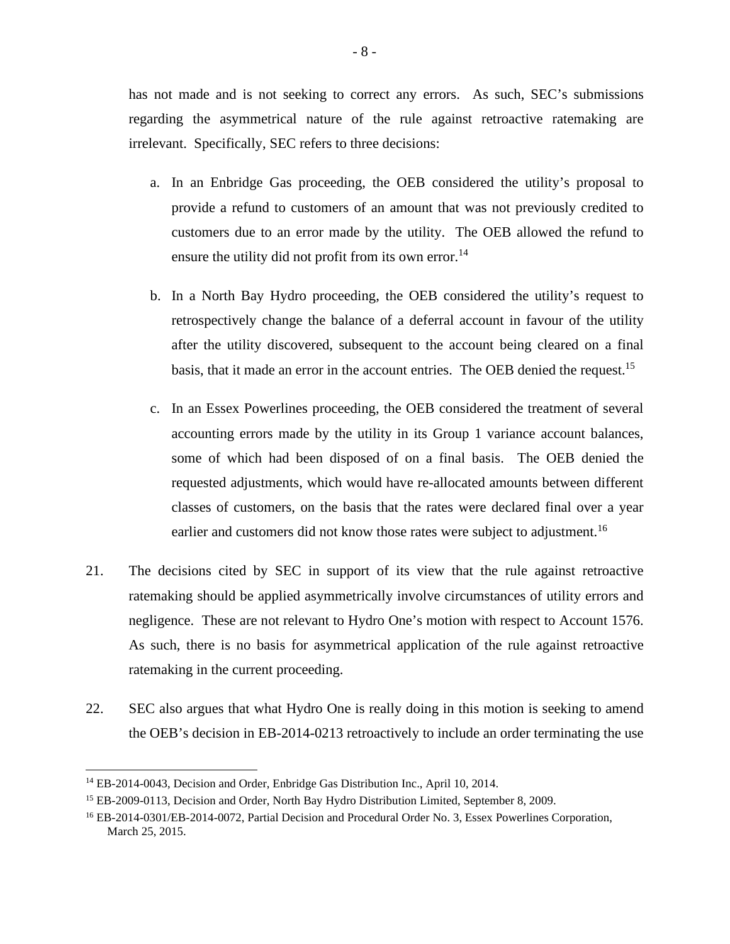has not made and is not seeking to correct any errors. As such, SEC's submissions regarding the asymmetrical nature of the rule against retroactive ratemaking are irrelevant. Specifically, SEC refers to three decisions:

- a. In an Enbridge Gas proceeding, the OEB considered the utility's proposal to provide a refund to customers of an amount that was not previously credited to customers due to an error made by the utility. The OEB allowed the refund to ensure the utility did not profit from its own error.<sup>[14](#page-8-0)</sup>
- b. In a North Bay Hydro proceeding, the OEB considered the utility's request to retrospectively change the balance of a deferral account in favour of the utility after the utility discovered, subsequent to the account being cleared on a final basis, that it made an error in the account entries. The OEB denied the request.<sup>[15](#page-8-1)</sup>
- c. In an Essex Powerlines proceeding, the OEB considered the treatment of several accounting errors made by the utility in its Group 1 variance account balances, some of which had been disposed of on a final basis. The OEB denied the requested adjustments, which would have re-allocated amounts between different classes of customers, on the basis that the rates were declared final over a year earlier and customers did not know those rates were subject to adjustment.<sup>[16](#page-8-2)</sup>
- 21. The decisions cited by SEC in support of its view that the rule against retroactive ratemaking should be applied asymmetrically involve circumstances of utility errors and negligence. These are not relevant to Hydro One's motion with respect to Account 1576. As such, there is no basis for asymmetrical application of the rule against retroactive ratemaking in the current proceeding.
- <span id="page-8-3"></span>22. SEC also argues that what Hydro One is really doing in this motion is seeking to amend the OEB's decision in EB-2014-0213 retroactively to include an order terminating the use

<span id="page-8-0"></span><sup>&</sup>lt;sup>14</sup> EB-2014-0043, Decision and Order, Enbridge Gas Distribution Inc., April 10, 2014.

<span id="page-8-1"></span><sup>&</sup>lt;sup>15</sup> EB-2009-0113, Decision and Order, North Bay Hydro Distribution Limited, September 8, 2009.

<span id="page-8-2"></span><sup>16</sup> EB-2014-0301/EB-2014-0072, Partial Decision and Procedural Order No. 3, Essex Powerlines Corporation, March 25, 2015.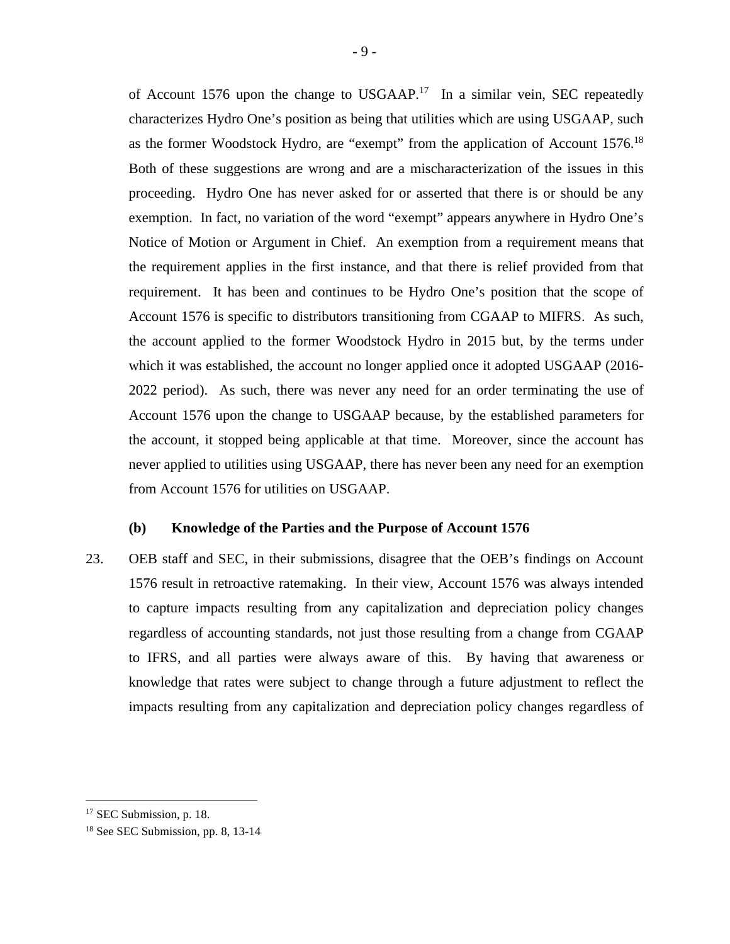of Account 1576 upon the change to USGAAP.<sup>[17](#page-9-0)</sup> In a similar vein, SEC repeatedly characterizes Hydro One's position as being that utilities which are using USGAAP, such as the former Woodstock Hydro, are "exempt" from the application of Account 1576.<sup>[18](#page-9-1)</sup> Both of these suggestions are wrong and are a mischaracterization of the issues in this proceeding. Hydro One has never asked for or asserted that there is or should be any exemption. In fact, no variation of the word "exempt" appears anywhere in Hydro One's Notice of Motion or Argument in Chief. An exemption from a requirement means that the requirement applies in the first instance, and that there is relief provided from that requirement. It has been and continues to be Hydro One's position that the scope of Account 1576 is specific to distributors transitioning from CGAAP to MIFRS. As such, the account applied to the former Woodstock Hydro in 2015 but, by the terms under which it was established, the account no longer applied once it adopted USGAAP (2016- 2022 period). As such, there was never any need for an order terminating the use of Account 1576 upon the change to USGAAP because, by the established parameters for the account, it stopped being applicable at that time. Moreover, since the account has never applied to utilities using USGAAP, there has never been any need for an exemption from Account 1576 for utilities on USGAAP.

#### **(b) Knowledge of the Parties and the Purpose of Account 1576**

23. OEB staff and SEC, in their submissions, disagree that the OEB's findings on Account 1576 result in retroactive ratemaking. In their view, Account 1576 was always intended to capture impacts resulting from any capitalization and depreciation policy changes regardless of accounting standards, not just those resulting from a change from CGAAP to IFRS, and all parties were always aware of this. By having that awareness or knowledge that rates were subject to change through a future adjustment to reflect the impacts resulting from any capitalization and depreciation policy changes regardless of

<span id="page-9-0"></span><sup>&</sup>lt;sup>17</sup> SEC Submission, p. 18.

<span id="page-9-1"></span><sup>18</sup> See SEC Submission, pp. 8, 13-14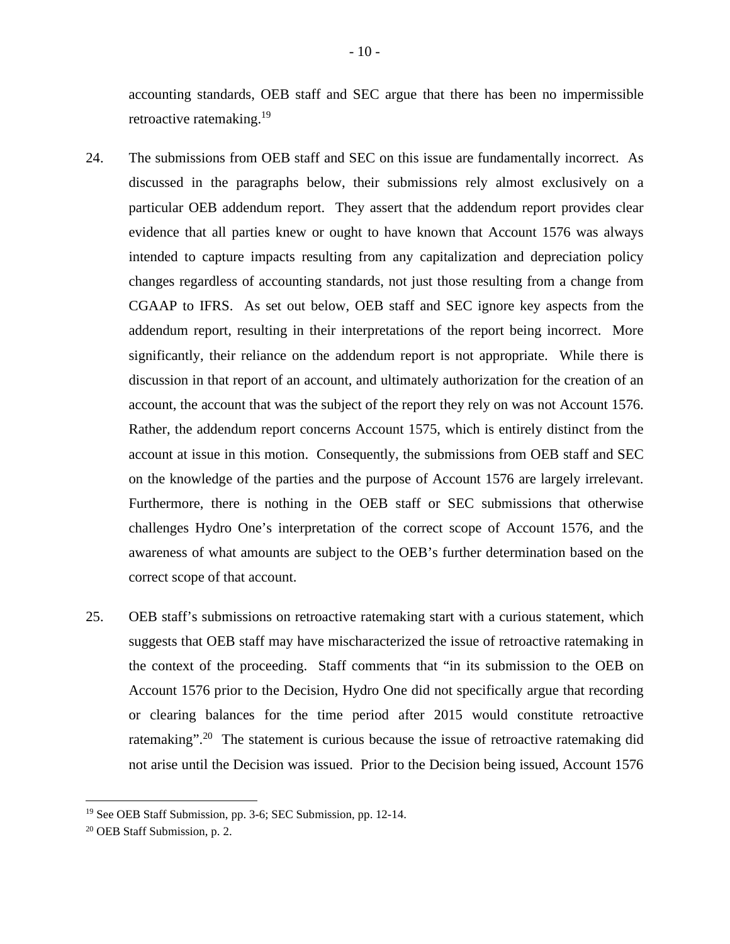accounting standards, OEB staff and SEC argue that there has been no impermissible retroactive ratemaking.<sup>[19](#page-10-0)</sup>

- 24. The submissions from OEB staff and SEC on this issue are fundamentally incorrect. As discussed in the paragraphs below, their submissions rely almost exclusively on a particular OEB addendum report. They assert that the addendum report provides clear evidence that all parties knew or ought to have known that Account 1576 was always intended to capture impacts resulting from any capitalization and depreciation policy changes regardless of accounting standards, not just those resulting from a change from CGAAP to IFRS. As set out below, OEB staff and SEC ignore key aspects from the addendum report, resulting in their interpretations of the report being incorrect. More significantly, their reliance on the addendum report is not appropriate. While there is discussion in that report of an account, and ultimately authorization for the creation of an account, the account that was the subject of the report they rely on was not Account 1576. Rather, the addendum report concerns Account 1575, which is entirely distinct from the account at issue in this motion. Consequently, the submissions from OEB staff and SEC on the knowledge of the parties and the purpose of Account 1576 are largely irrelevant. Furthermore, there is nothing in the OEB staff or SEC submissions that otherwise challenges Hydro One's interpretation of the correct scope of Account 1576, and the awareness of what amounts are subject to the OEB's further determination based on the correct scope of that account.
- 25. OEB staff's submissions on retroactive ratemaking start with a curious statement, which suggests that OEB staff may have mischaracterized the issue of retroactive ratemaking in the context of the proceeding. Staff comments that "in its submission to the OEB on Account 1576 prior to the Decision, Hydro One did not specifically argue that recording or clearing balances for the time period after 2015 would constitute retroactive ratemaking".<sup>[20](#page-10-1)</sup> The statement is curious because the issue of retroactive ratemaking did not arise until the Decision was issued. Prior to the Decision being issued, Account 1576

<span id="page-10-0"></span><sup>19</sup> See OEB Staff Submission, pp. 3-6; SEC Submission, pp. 12-14.

<span id="page-10-1"></span><sup>20</sup> OEB Staff Submission, p. 2.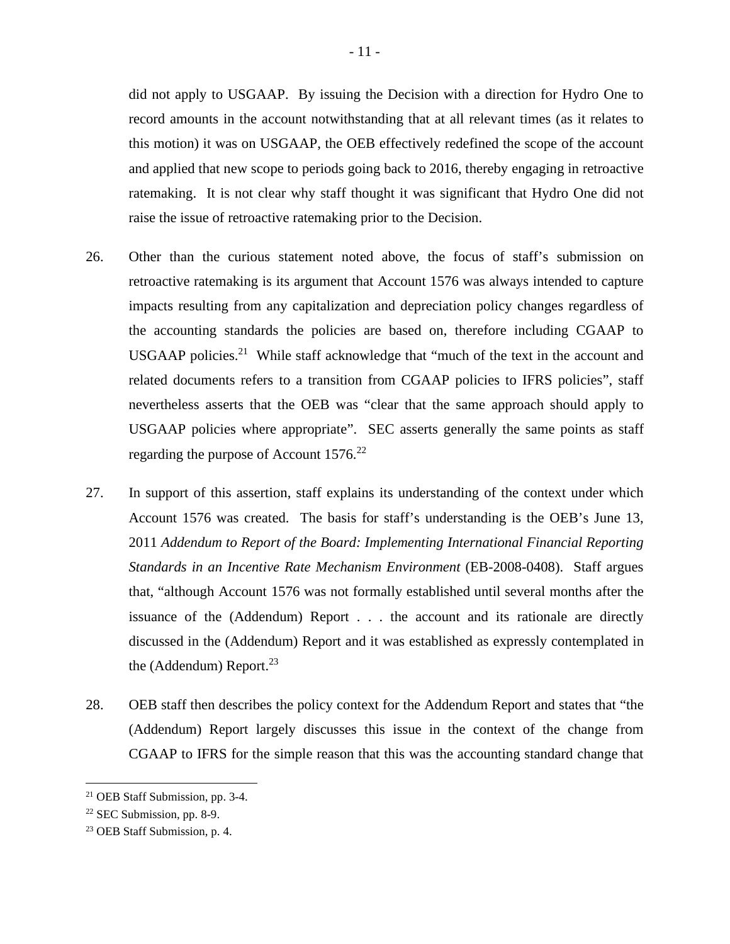did not apply to USGAAP. By issuing the Decision with a direction for Hydro One to record amounts in the account notwithstanding that at all relevant times (as it relates to this motion) it was on USGAAP, the OEB effectively redefined the scope of the account and applied that new scope to periods going back to 2016, thereby engaging in retroactive ratemaking. It is not clear why staff thought it was significant that Hydro One did not raise the issue of retroactive ratemaking prior to the Decision.

- 26. Other than the curious statement noted above, the focus of staff's submission on retroactive ratemaking is its argument that Account 1576 was always intended to capture impacts resulting from any capitalization and depreciation policy changes regardless of the accounting standards the policies are based on, therefore including CGAAP to USGAAP policies.<sup>[21](#page-11-0)</sup> While staff acknowledge that "much of the text in the account and related documents refers to a transition from CGAAP policies to IFRS policies", staff nevertheless asserts that the OEB was "clear that the same approach should apply to USGAAP policies where appropriate". SEC asserts generally the same points as staff regarding the purpose of Account  $1576^{22}$  $1576^{22}$  $1576^{22}$
- 27. In support of this assertion, staff explains its understanding of the context under which Account 1576 was created. The basis for staff's understanding is the OEB's June 13, 2011 *Addendum to Report of the Board: Implementing International Financial Reporting Standards in an Incentive Rate Mechanism Environment* (EB-2008-0408). Staff argues that, "although Account 1576 was not formally established until several months after the issuance of the (Addendum) Report . . . the account and its rationale are directly discussed in the (Addendum) Report and it was established as expressly contemplated in the (Addendum) Report. $23$
- 28. OEB staff then describes the policy context for the Addendum Report and states that "the (Addendum) Report largely discusses this issue in the context of the change from CGAAP to IFRS for the simple reason that this was the accounting standard change that

<span id="page-11-0"></span><sup>21</sup> OEB Staff Submission, pp. 3-4.

<span id="page-11-1"></span> $22$  SEC Submission, pp. 8-9.

<span id="page-11-2"></span><sup>23</sup> OEB Staff Submission, p. 4.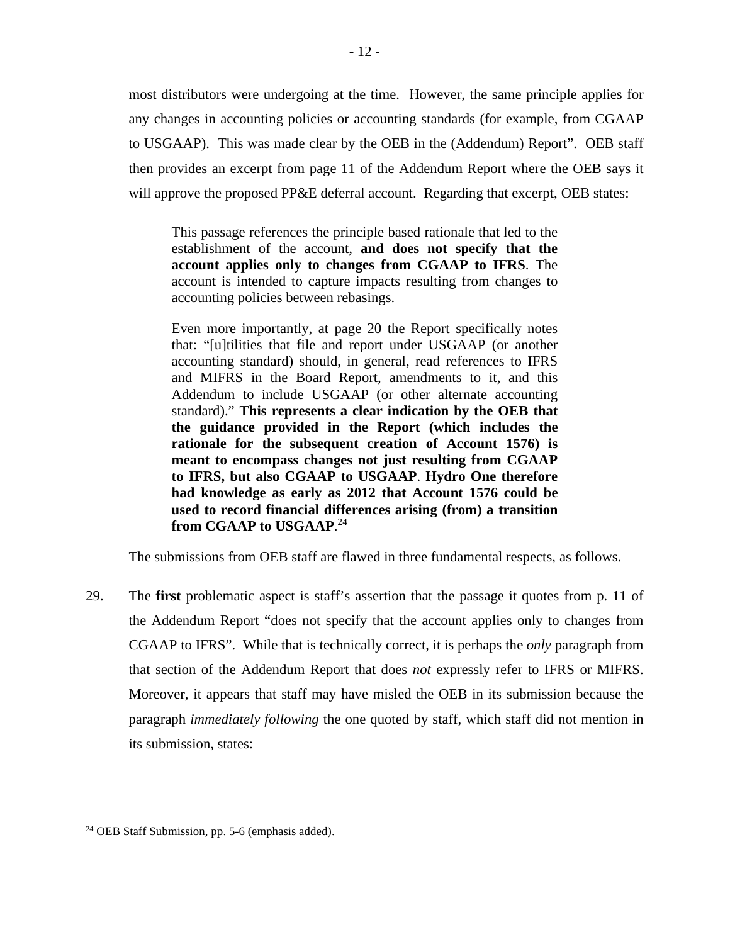most distributors were undergoing at the time. However, the same principle applies for any changes in accounting policies or accounting standards (for example, from CGAAP to USGAAP). This was made clear by the OEB in the (Addendum) Report". OEB staff then provides an excerpt from page 11 of the Addendum Report where the OEB says it will approve the proposed PP&E deferral account. Regarding that excerpt, OEB states:

This passage references the principle based rationale that led to the establishment of the account, **and does not specify that the account applies only to changes from CGAAP to IFRS**. The account is intended to capture impacts resulting from changes to accounting policies between rebasings.

Even more importantly, at page 20 the Report specifically notes that: "[u]tilities that file and report under USGAAP (or another accounting standard) should, in general, read references to IFRS and MIFRS in the Board Report, amendments to it, and this Addendum to include USGAAP (or other alternate accounting standard)." **This represents a clear indication by the OEB that the guidance provided in the Report (which includes the rationale for the subsequent creation of Account 1576) is meant to encompass changes not just resulting from CGAAP to IFRS, but also CGAAP to USGAAP**. **Hydro One therefore had knowledge as early as 2012 that Account 1576 could be used to record financial differences arising (from) a transition from CGAAP to USGAAP**. [24](#page-12-0)

The submissions from OEB staff are flawed in three fundamental respects, as follows.

29. The **first** problematic aspect is staff's assertion that the passage it quotes from p. 11 of the Addendum Report "does not specify that the account applies only to changes from CGAAP to IFRS". While that is technically correct, it is perhaps the *only* paragraph from that section of the Addendum Report that does *not* expressly refer to IFRS or MIFRS. Moreover, it appears that staff may have misled the OEB in its submission because the paragraph *immediately following* the one quoted by staff, which staff did not mention in its submission, states:

<span id="page-12-0"></span><sup>24</sup> OEB Staff Submission, pp. 5-6 (emphasis added).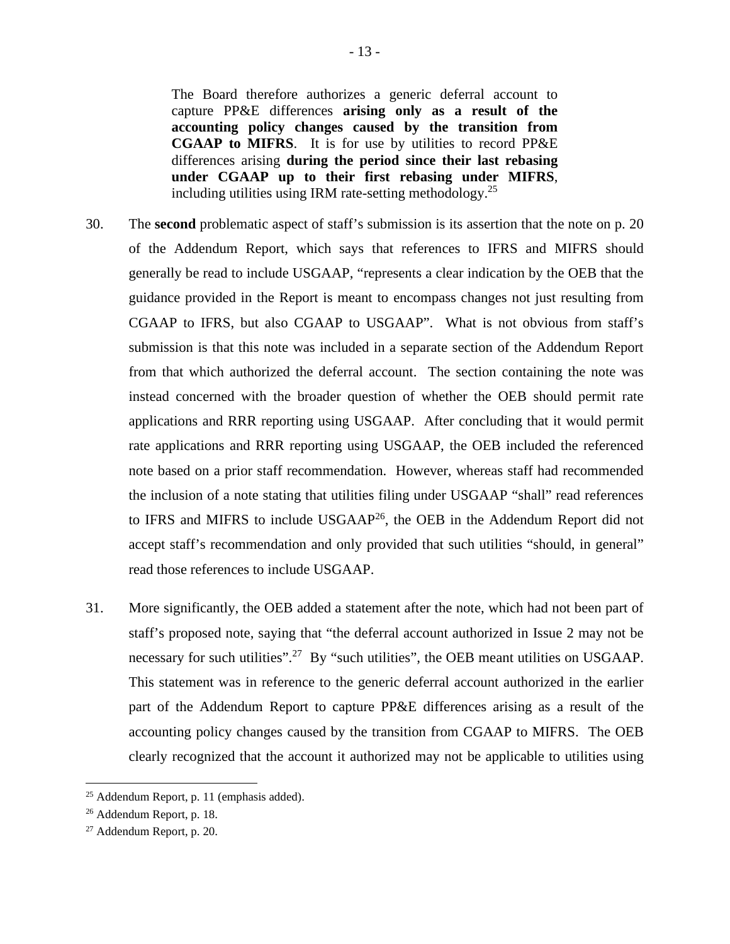The Board therefore authorizes a generic deferral account to capture PP&E differences **arising only as a result of the accounting policy changes caused by the transition from CGAAP to MIFRS**. It is for use by utilities to record PP&E differences arising **during the period since their last rebasing under CGAAP up to their first rebasing under MIFRS**, including utilities using IRM rate-setting methodology.<sup>[25](#page-13-0)</sup>

- 30. The **second** problematic aspect of staff's submission is its assertion that the note on p. 20 of the Addendum Report, which says that references to IFRS and MIFRS should generally be read to include USGAAP, "represents a clear indication by the OEB that the guidance provided in the Report is meant to encompass changes not just resulting from CGAAP to IFRS, but also CGAAP to USGAAP". What is not obvious from staff's submission is that this note was included in a separate section of the Addendum Report from that which authorized the deferral account. The section containing the note was instead concerned with the broader question of whether the OEB should permit rate applications and RRR reporting using USGAAP. After concluding that it would permit rate applications and RRR reporting using USGAAP, the OEB included the referenced note based on a prior staff recommendation. However, whereas staff had recommended the inclusion of a note stating that utilities filing under USGAAP "shall" read references to IFRS and MIFRS to include USGAAP<sup>[26](#page-13-1)</sup>, the OEB in the Addendum Report did not accept staff's recommendation and only provided that such utilities "should, in general" read those references to include USGAAP.
- 31. More significantly, the OEB added a statement after the note, which had not been part of staff's proposed note, saying that "the deferral account authorized in Issue 2 may not be necessary for such utilities".<sup>[27](#page-13-2)</sup> By "such utilities", the OEB meant utilities on USGAAP. This statement was in reference to the generic deferral account authorized in the earlier part of the Addendum Report to capture PP&E differences arising as a result of the accounting policy changes caused by the transition from CGAAP to MIFRS. The OEB clearly recognized that the account it authorized may not be applicable to utilities using

<span id="page-13-0"></span><sup>25</sup> Addendum Report, p. 11 (emphasis added).

<span id="page-13-1"></span><sup>26</sup> Addendum Report, p. 18.

<span id="page-13-2"></span><sup>27</sup> Addendum Report, p. 20.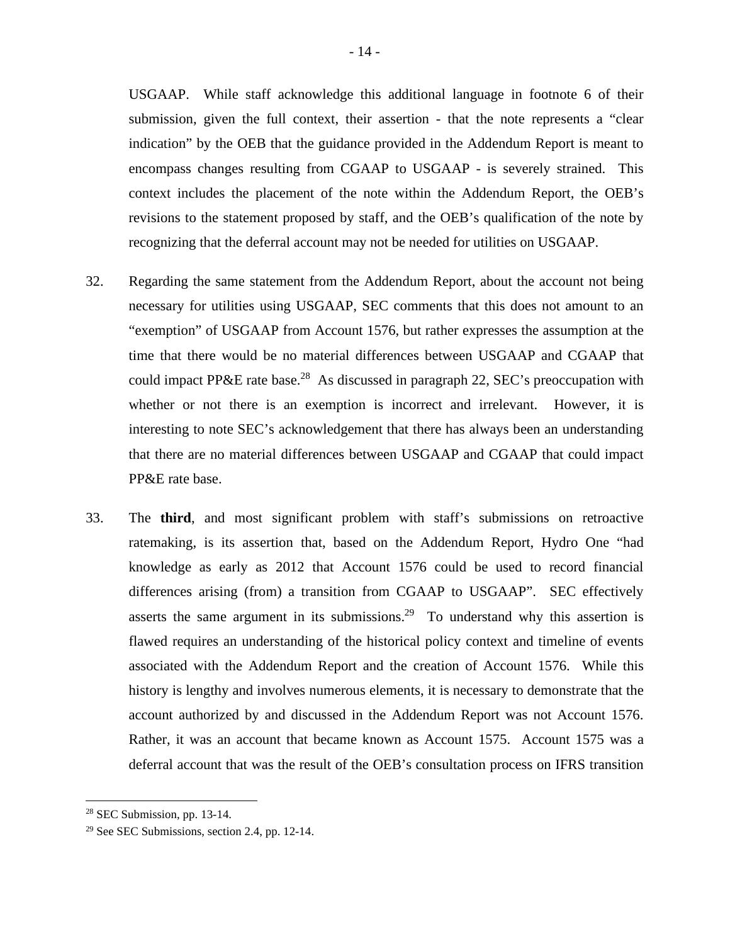USGAAP. While staff acknowledge this additional language in footnote 6 of their submission, given the full context, their assertion - that the note represents a "clear indication" by the OEB that the guidance provided in the Addendum Report is meant to encompass changes resulting from CGAAP to USGAAP - is severely strained. This context includes the placement of the note within the Addendum Report, the OEB's revisions to the statement proposed by staff, and the OEB's qualification of the note by recognizing that the deferral account may not be needed for utilities on USGAAP.

- 32. Regarding the same statement from the Addendum Report, about the account not being necessary for utilities using USGAAP, SEC comments that this does not amount to an "exemption" of USGAAP from Account 1576, but rather expresses the assumption at the time that there would be no material differences between USGAAP and CGAAP that could impact PP&E rate base.<sup>[28](#page-14-0)</sup> As discussed in paragraph [22,](#page-8-3) SEC's preoccupation with whether or not there is an exemption is incorrect and irrelevant. However, it is interesting to note SEC's acknowledgement that there has always been an understanding that there are no material differences between USGAAP and CGAAP that could impact PP&E rate base.
- 33. The **third**, and most significant problem with staff's submissions on retroactive ratemaking, is its assertion that, based on the Addendum Report, Hydro One "had knowledge as early as 2012 that Account 1576 could be used to record financial differences arising (from) a transition from CGAAP to USGAAP". SEC effectively asserts the same argument in its submissions.<sup>[29](#page-14-1)</sup> To understand why this assertion is flawed requires an understanding of the historical policy context and timeline of events associated with the Addendum Report and the creation of Account 1576. While this history is lengthy and involves numerous elements, it is necessary to demonstrate that the account authorized by and discussed in the Addendum Report was not Account 1576. Rather, it was an account that became known as Account 1575. Account 1575 was a deferral account that was the result of the OEB's consultation process on IFRS transition

<span id="page-14-0"></span> $28$  SEC Submission, pp. 13-14.

<span id="page-14-1"></span><sup>29</sup> See SEC Submissions, section 2.4, pp. 12-14.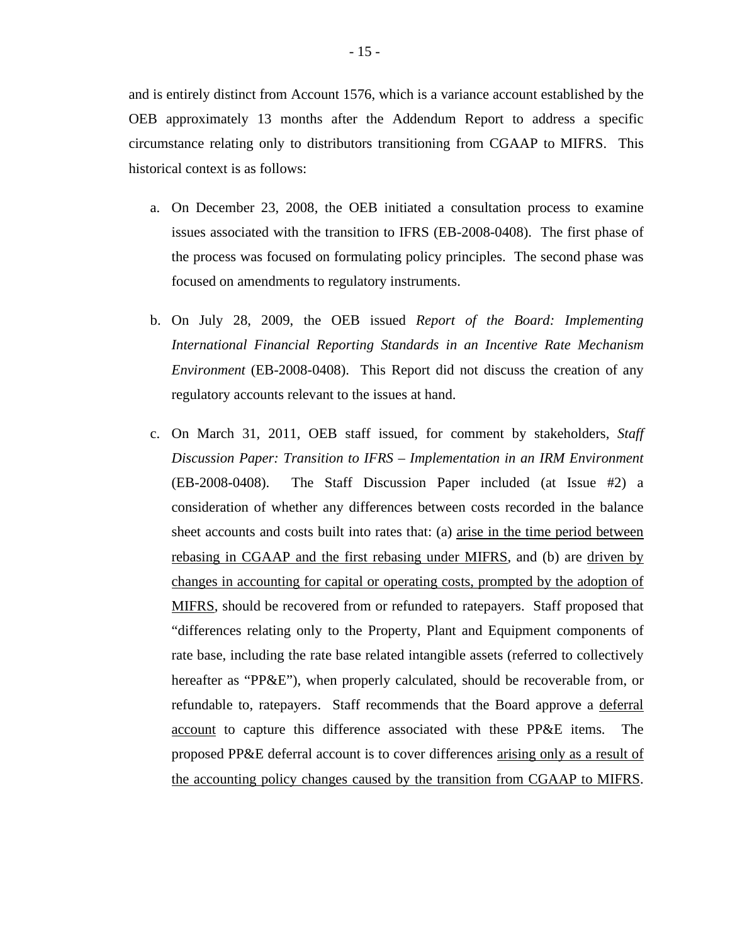and is entirely distinct from Account 1576, which is a variance account established by the OEB approximately 13 months after the Addendum Report to address a specific circumstance relating only to distributors transitioning from CGAAP to MIFRS. This historical context is as follows:

- a. On December 23, 2008, the OEB initiated a consultation process to examine issues associated with the transition to IFRS (EB-2008-0408). The first phase of the process was focused on formulating policy principles. The second phase was focused on amendments to regulatory instruments.
- b. On July 28, 2009, the OEB issued *Report of the Board: Implementing International Financial Reporting Standards in an Incentive Rate Mechanism Environment* (EB-2008-0408). This Report did not discuss the creation of any regulatory accounts relevant to the issues at hand.
- c. On March 31, 2011, OEB staff issued, for comment by stakeholders, *Staff Discussion Paper: Transition to IFRS – Implementation in an IRM Environment* (EB-2008-0408). The Staff Discussion Paper included (at Issue #2) a consideration of whether any differences between costs recorded in the balance sheet accounts and costs built into rates that: (a) arise in the time period between rebasing in CGAAP and the first rebasing under MIFRS, and (b) are driven by changes in accounting for capital or operating costs, prompted by the adoption of MIFRS, should be recovered from or refunded to ratepayers. Staff proposed that "differences relating only to the Property, Plant and Equipment components of rate base, including the rate base related intangible assets (referred to collectively hereafter as "PP&E"), when properly calculated, should be recoverable from, or refundable to, ratepayers. Staff recommends that the Board approve a deferral account to capture this difference associated with these PP&E items. The proposed PP&E deferral account is to cover differences arising only as a result of the accounting policy changes caused by the transition from CGAAP to MIFRS.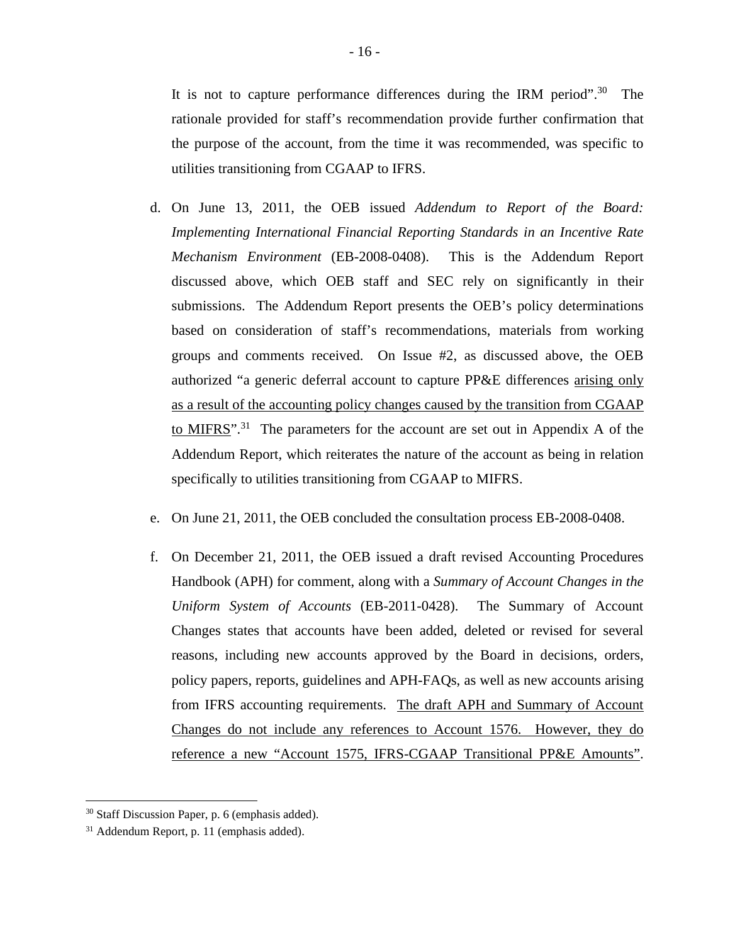It is not to capture performance differences during the IRM period".[30](#page-16-0) The rationale provided for staff's recommendation provide further confirmation that the purpose of the account, from the time it was recommended, was specific to utilities transitioning from CGAAP to IFRS.

- d. On June 13, 2011, the OEB issued *Addendum to Report of the Board: Implementing International Financial Reporting Standards in an Incentive Rate Mechanism Environment* (EB-2008-0408). This is the Addendum Report discussed above, which OEB staff and SEC rely on significantly in their submissions. The Addendum Report presents the OEB's policy determinations based on consideration of staff's recommendations, materials from working groups and comments received. On Issue #2, as discussed above, the OEB authorized "a generic deferral account to capture PP&E differences arising only as a result of the accounting policy changes caused by the transition from CGAAP to MIFRS".[31](#page-16-1) The parameters for the account are set out in Appendix A of the Addendum Report, which reiterates the nature of the account as being in relation specifically to utilities transitioning from CGAAP to MIFRS.
- e. On June 21, 2011, the OEB concluded the consultation process EB-2008-0408.
- f. On December 21, 2011, the OEB issued a draft revised Accounting Procedures Handbook (APH) for comment, along with a *Summary of Account Changes in the Uniform System of Accounts* (EB-2011-0428). The Summary of Account Changes states that accounts have been added, deleted or revised for several reasons, including new accounts approved by the Board in decisions, orders, policy papers, reports, guidelines and APH-FAQs, as well as new accounts arising from IFRS accounting requirements. The draft APH and Summary of Account Changes do not include any references to Account 1576. However, they do reference a new "Account 1575, IFRS-CGAAP Transitional PP&E Amounts".

<span id="page-16-0"></span><sup>30</sup> Staff Discussion Paper, p. 6 (emphasis added).

<span id="page-16-1"></span><sup>31</sup> Addendum Report, p. 11 (emphasis added).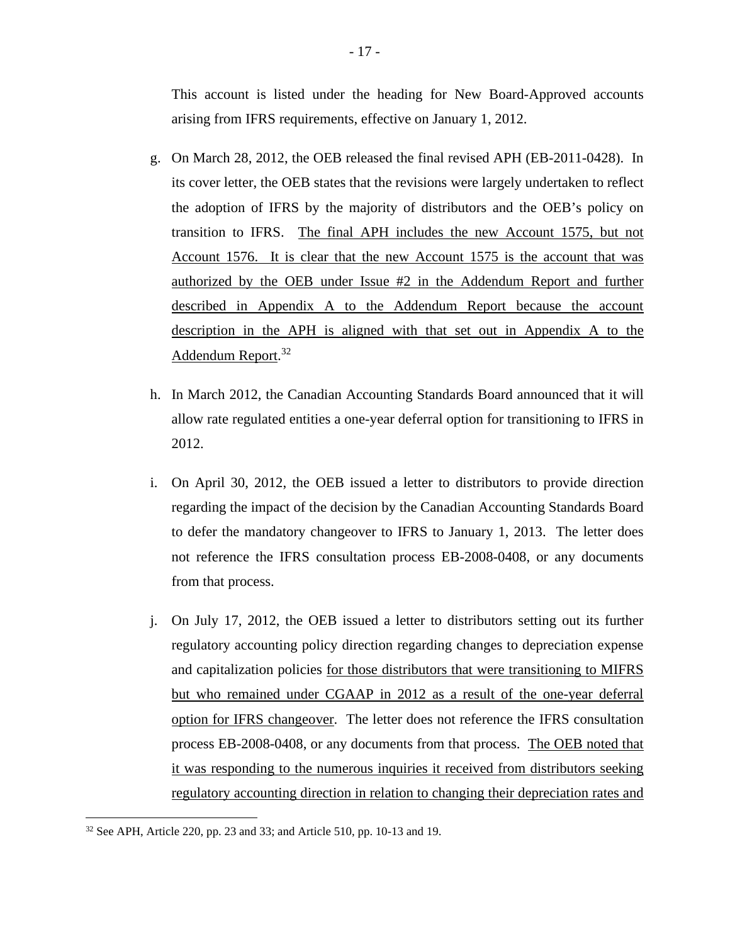This account is listed under the heading for New Board-Approved accounts arising from IFRS requirements, effective on January 1, 2012.

- g. On March 28, 2012, the OEB released the final revised APH (EB-2011-0428). In its cover letter, the OEB states that the revisions were largely undertaken to reflect the adoption of IFRS by the majority of distributors and the OEB's policy on transition to IFRS. The final APH includes the new Account 1575, but not Account 1576. It is clear that the new Account 1575 is the account that was authorized by the OEB under Issue #2 in the Addendum Report and further described in Appendix A to the Addendum Report because the account description in the APH is aligned with that set out in Appendix A to the Addendum Report.[32](#page-17-0)
- h. In March 2012, the Canadian Accounting Standards Board announced that it will allow rate regulated entities a one-year deferral option for transitioning to IFRS in 2012.
- i. On April 30, 2012, the OEB issued a letter to distributors to provide direction regarding the impact of the decision by the Canadian Accounting Standards Board to defer the mandatory changeover to IFRS to January 1, 2013. The letter does not reference the IFRS consultation process EB-2008-0408, or any documents from that process.
- j. On July 17, 2012, the OEB issued a letter to distributors setting out its further regulatory accounting policy direction regarding changes to depreciation expense and capitalization policies for those distributors that were transitioning to MIFRS but who remained under CGAAP in 2012 as a result of the one-year deferral option for IFRS changeover. The letter does not reference the IFRS consultation process EB-2008-0408, or any documents from that process. The OEB noted that it was responding to the numerous inquiries it received from distributors seeking regulatory accounting direction in relation to changing their depreciation rates and

<span id="page-17-0"></span><sup>32</sup> See APH, Article 220, pp. 23 and 33; and Article 510, pp. 10-13 and 19.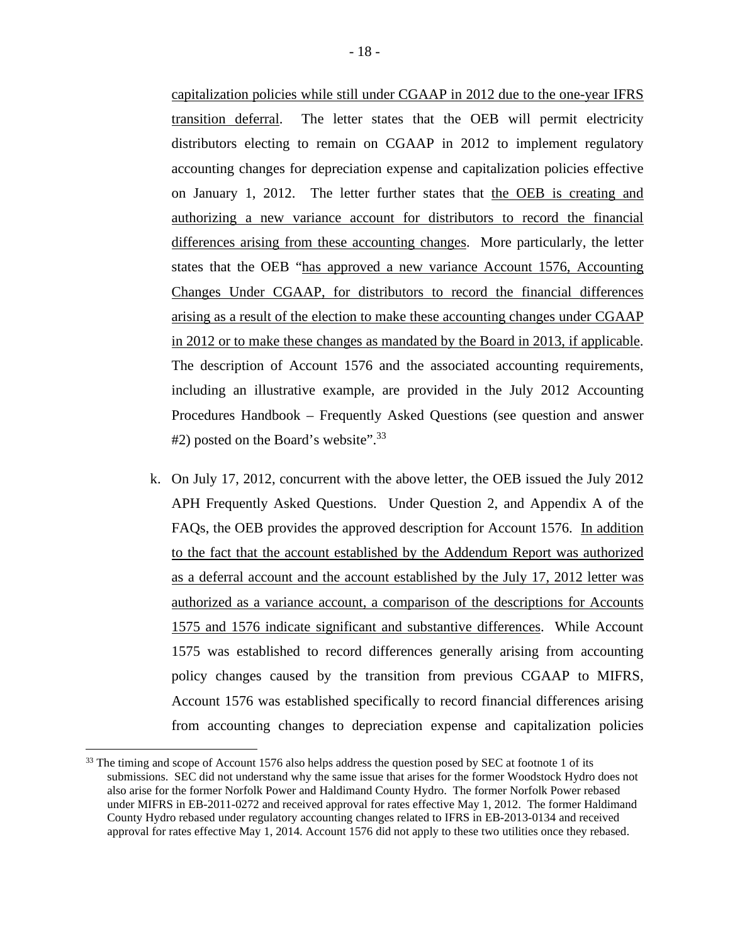capitalization policies while still under CGAAP in 2012 due to the one-year IFRS transition deferral. The letter states that the OEB will permit electricity distributors electing to remain on CGAAP in 2012 to implement regulatory accounting changes for depreciation expense and capitalization policies effective on January 1, 2012. The letter further states that the OEB is creating and authorizing a new variance account for distributors to record the financial differences arising from these accounting changes. More particularly, the letter states that the OEB "has approved a new variance Account 1576, Accounting Changes Under CGAAP, for distributors to record the financial differences arising as a result of the election to make these accounting changes under CGAAP in 2012 or to make these changes as mandated by the Board in 2013, if applicable. The description of Account 1576 and the associated accounting requirements, including an illustrative example, are provided in the July 2012 Accounting Procedures Handbook – Frequently Asked Questions (see question and answer #2) posted on the Board's website".<sup>[33](#page-18-0)</sup>

k. On July 17, 2012, concurrent with the above letter, the OEB issued the July 2012 APH Frequently Asked Questions. Under Question 2, and Appendix A of the FAQs, the OEB provides the approved description for Account 1576. In addition to the fact that the account established by the Addendum Report was authorized as a deferral account and the account established by the July 17, 2012 letter was authorized as a variance account, a comparison of the descriptions for Accounts 1575 and 1576 indicate significant and substantive differences. While Account 1575 was established to record differences generally arising from accounting policy changes caused by the transition from previous CGAAP to MIFRS, Account 1576 was established specifically to record financial differences arising from accounting changes to depreciation expense and capitalization policies

<span id="page-18-0"></span><sup>&</sup>lt;sup>33</sup> The timing and scope of Account 1576 also helps address the question posed by SEC at footnote 1 of its submissions. SEC did not understand why the same issue that arises for the former Woodstock Hydro does not also arise for the former Norfolk Power and Haldimand County Hydro. The former Norfolk Power rebased under MIFRS in EB-2011-0272 and received approval for rates effective May 1, 2012. The former Haldimand County Hydro rebased under regulatory accounting changes related to IFRS in EB-2013-0134 and received approval for rates effective May 1, 2014. Account 1576 did not apply to these two utilities once they rebased.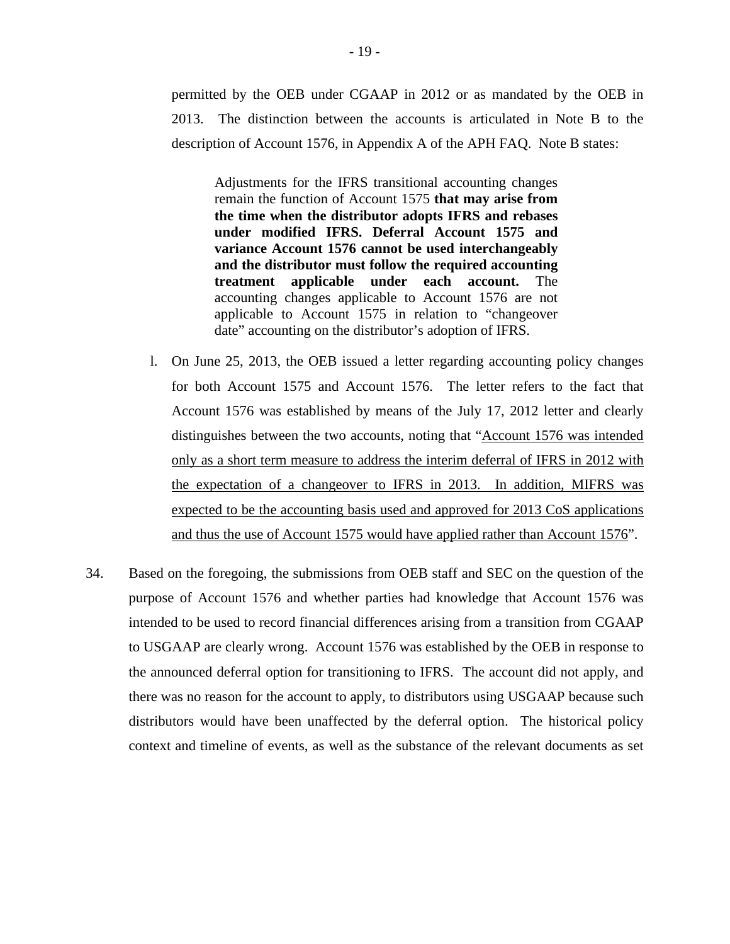permitted by the OEB under CGAAP in 2012 or as mandated by the OEB in 2013. The distinction between the accounts is articulated in Note B to the description of Account 1576, in Appendix A of the APH FAQ. Note B states:

Adjustments for the IFRS transitional accounting changes remain the function of Account 1575 **that may arise from the time when the distributor adopts IFRS and rebases under modified IFRS. Deferral Account 1575 and variance Account 1576 cannot be used interchangeably and the distributor must follow the required accounting treatment applicable under each account.** The accounting changes applicable to Account 1576 are not applicable to Account 1575 in relation to "changeover date" accounting on the distributor's adoption of IFRS.

- l. On June 25, 2013, the OEB issued a letter regarding accounting policy changes for both Account 1575 and Account 1576. The letter refers to the fact that Account 1576 was established by means of the July 17, 2012 letter and clearly distinguishes between the two accounts, noting that "Account 1576 was intended only as a short term measure to address the interim deferral of IFRS in 2012 with the expectation of a changeover to IFRS in 2013. In addition, MIFRS was expected to be the accounting basis used and approved for 2013 CoS applications and thus the use of Account 1575 would have applied rather than Account 1576".
- 34. Based on the foregoing, the submissions from OEB staff and SEC on the question of the purpose of Account 1576 and whether parties had knowledge that Account 1576 was intended to be used to record financial differences arising from a transition from CGAAP to USGAAP are clearly wrong. Account 1576 was established by the OEB in response to the announced deferral option for transitioning to IFRS. The account did not apply, and there was no reason for the account to apply, to distributors using USGAAP because such distributors would have been unaffected by the deferral option. The historical policy context and timeline of events, as well as the substance of the relevant documents as set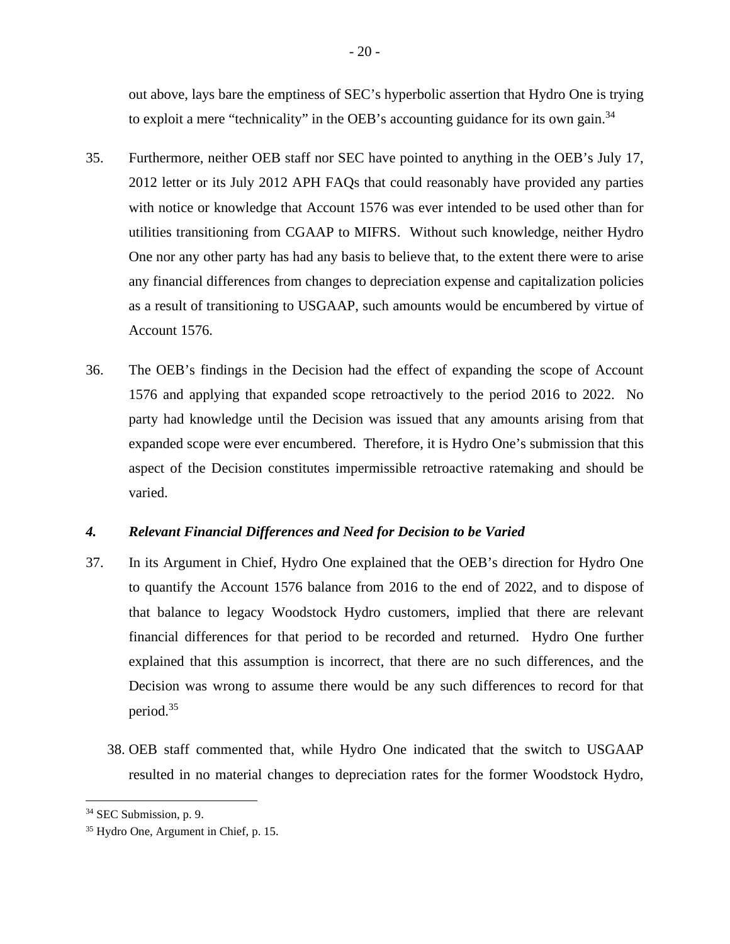out above, lays bare the emptiness of SEC's hyperbolic assertion that Hydro One is trying to exploit a mere "technicality" in the OEB's accounting guidance for its own gain.<sup>[34](#page-20-1)</sup>

- 35. Furthermore, neither OEB staff nor SEC have pointed to anything in the OEB's July 17, 2012 letter or its July 2012 APH FAQs that could reasonably have provided any parties with notice or knowledge that Account 1576 was ever intended to be used other than for utilities transitioning from CGAAP to MIFRS. Without such knowledge, neither Hydro One nor any other party has had any basis to believe that, to the extent there were to arise any financial differences from changes to depreciation expense and capitalization policies as a result of transitioning to USGAAP, such amounts would be encumbered by virtue of Account 1576.
- 36. The OEB's findings in the Decision had the effect of expanding the scope of Account 1576 and applying that expanded scope retroactively to the period 2016 to 2022. No party had knowledge until the Decision was issued that any amounts arising from that expanded scope were ever encumbered. Therefore, it is Hydro One's submission that this aspect of the Decision constitutes impermissible retroactive ratemaking and should be varied.

## <span id="page-20-0"></span>*4. Relevant Financial Differences and Need for Decision to be Varied*

- 37. In its Argument in Chief, Hydro One explained that the OEB's direction for Hydro One to quantify the Account 1576 balance from 2016 to the end of 2022, and to dispose of that balance to legacy Woodstock Hydro customers, implied that there are relevant financial differences for that period to be recorded and returned. Hydro One further explained that this assumption is incorrect, that there are no such differences, and the Decision was wrong to assume there would be any such differences to record for that period.[35](#page-20-2)
	- 38. OEB staff commented that, while Hydro One indicated that the switch to USGAAP resulted in no material changes to depreciation rates for the former Woodstock Hydro,

<span id="page-20-1"></span><sup>&</sup>lt;sup>34</sup> SEC Submission, p. 9.

<span id="page-20-2"></span><sup>35</sup> Hydro One, Argument in Chief, p. 15.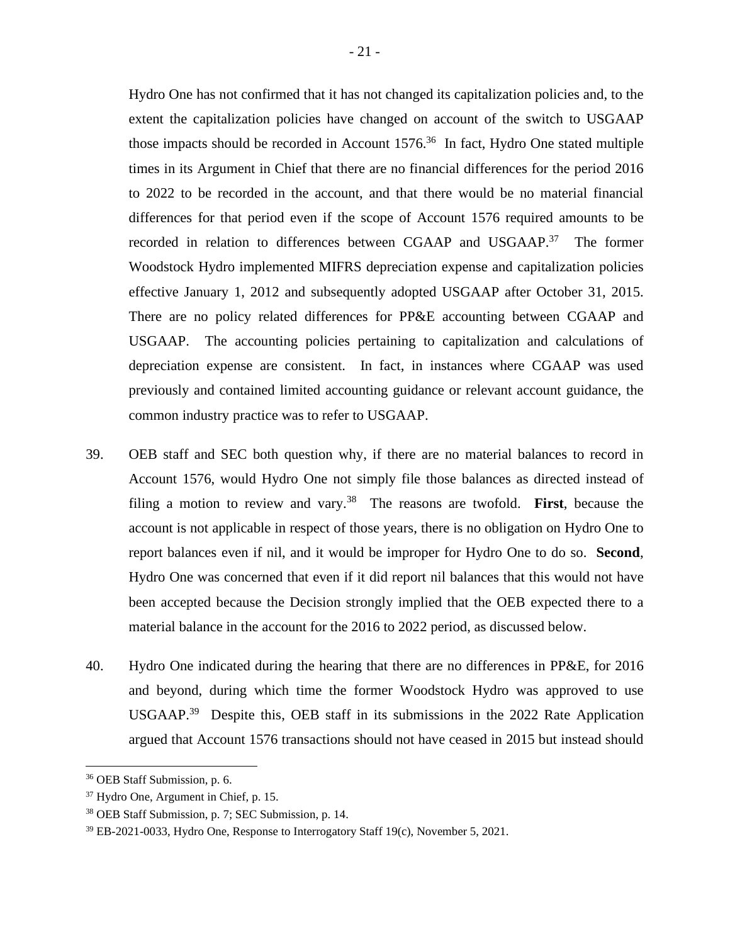Hydro One has not confirmed that it has not changed its capitalization policies and, to the extent the capitalization policies have changed on account of the switch to USGAAP those impacts should be recorded in Account  $1576<sup>36</sup>$  $1576<sup>36</sup>$  $1576<sup>36</sup>$  In fact, Hydro One stated multiple times in its Argument in Chief that there are no financial differences for the period 2016 to 2022 to be recorded in the account, and that there would be no material financial differences for that period even if the scope of Account 1576 required amounts to be recorded in relation to differences between CGAAP and USGAAP.<sup>[37](#page-21-1)</sup> The former Woodstock Hydro implemented MIFRS depreciation expense and capitalization policies effective January 1, 2012 and subsequently adopted USGAAP after October 31, 2015. There are no policy related differences for PP&E accounting between CGAAP and USGAAP. The accounting policies pertaining to capitalization and calculations of depreciation expense are consistent. In fact, in instances where CGAAP was used previously and contained limited accounting guidance or relevant account guidance, the common industry practice was to refer to USGAAP.

- 39. OEB staff and SEC both question why, if there are no material balances to record in Account 1576, would Hydro One not simply file those balances as directed instead of filing a motion to review and vary.[38](#page-21-2) The reasons are twofold. **First**, because the account is not applicable in respect of those years, there is no obligation on Hydro One to report balances even if nil, and it would be improper for Hydro One to do so. **Second**, Hydro One was concerned that even if it did report nil balances that this would not have been accepted because the Decision strongly implied that the OEB expected there to a material balance in the account for the 2016 to 2022 period, as discussed below.
- 40. Hydro One indicated during the hearing that there are no differences in PP&E, for 2016 and beyond, during which time the former Woodstock Hydro was approved to use USGAAP.[39](#page-21-3) Despite this, OEB staff in its submissions in the 2022 Rate Application argued that Account 1576 transactions should not have ceased in 2015 but instead should

<span id="page-21-0"></span><sup>36</sup> OEB Staff Submission, p. 6.

<span id="page-21-1"></span><sup>37</sup> Hydro One, Argument in Chief, p. 15.

<span id="page-21-2"></span><sup>38</sup> OEB Staff Submission, p. 7; SEC Submission, p. 14.

<span id="page-21-3"></span><sup>39</sup> EB-2021-0033, Hydro One, Response to Interrogatory Staff 19(c), November 5, 2021.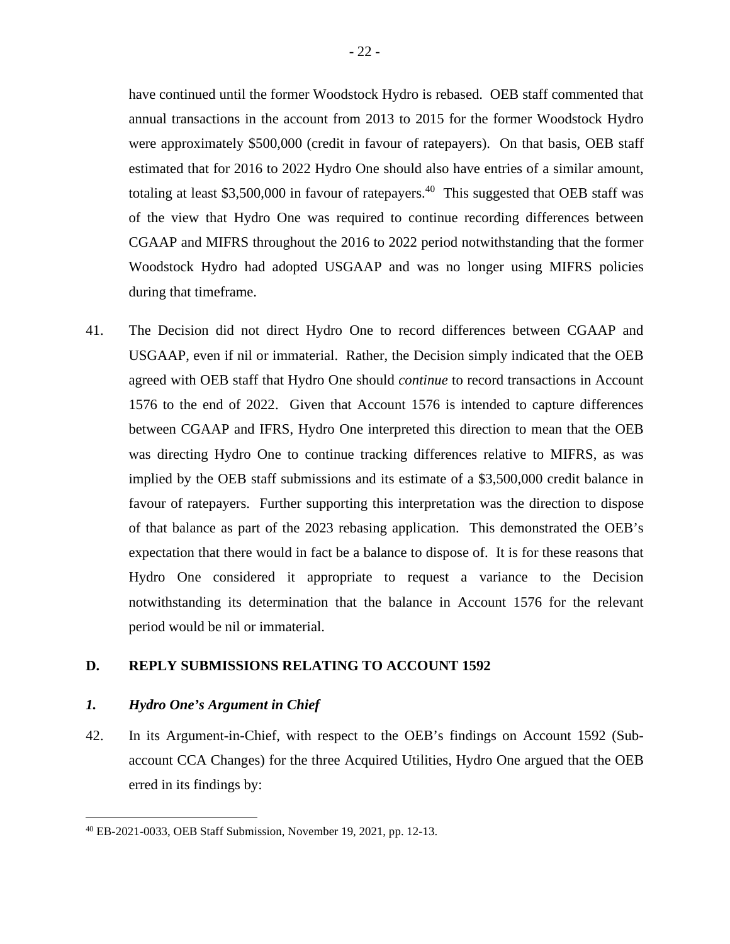have continued until the former Woodstock Hydro is rebased. OEB staff commented that annual transactions in the account from 2013 to 2015 for the former Woodstock Hydro were approximately \$500,000 (credit in favour of ratepayers). On that basis, OEB staff estimated that for 2016 to 2022 Hydro One should also have entries of a similar amount, totaling at least \$3,500,000 in favour of ratepayers.<sup>[40](#page-22-0)</sup> This suggested that OEB staff was of the view that Hydro One was required to continue recording differences between CGAAP and MIFRS throughout the 2016 to 2022 period notwithstanding that the former Woodstock Hydro had adopted USGAAP and was no longer using MIFRS policies during that timeframe.

41. The Decision did not direct Hydro One to record differences between CGAAP and USGAAP, even if nil or immaterial. Rather, the Decision simply indicated that the OEB agreed with OEB staff that Hydro One should *continue* to record transactions in Account 1576 to the end of 2022. Given that Account 1576 is intended to capture differences between CGAAP and IFRS, Hydro One interpreted this direction to mean that the OEB was directing Hydro One to continue tracking differences relative to MIFRS, as was implied by the OEB staff submissions and its estimate of a \$3,500,000 credit balance in favour of ratepayers. Further supporting this interpretation was the direction to dispose of that balance as part of the 2023 rebasing application. This demonstrated the OEB's expectation that there would in fact be a balance to dispose of. It is for these reasons that Hydro One considered it appropriate to request a variance to the Decision notwithstanding its determination that the balance in Account 1576 for the relevant period would be nil or immaterial.

# **D. REPLY SUBMISSIONS RELATING TO ACCOUNT 1592**

#### *1. Hydro One's Argument in Chief*

<span id="page-22-1"></span>42. In its Argument-in-Chief, with respect to the OEB's findings on Account 1592 (Subaccount CCA Changes) for the three Acquired Utilities, Hydro One argued that the OEB erred in its findings by:

<span id="page-22-0"></span><sup>40</sup> EB-2021-0033, OEB Staff Submission, November 19, 2021, pp. 12-13.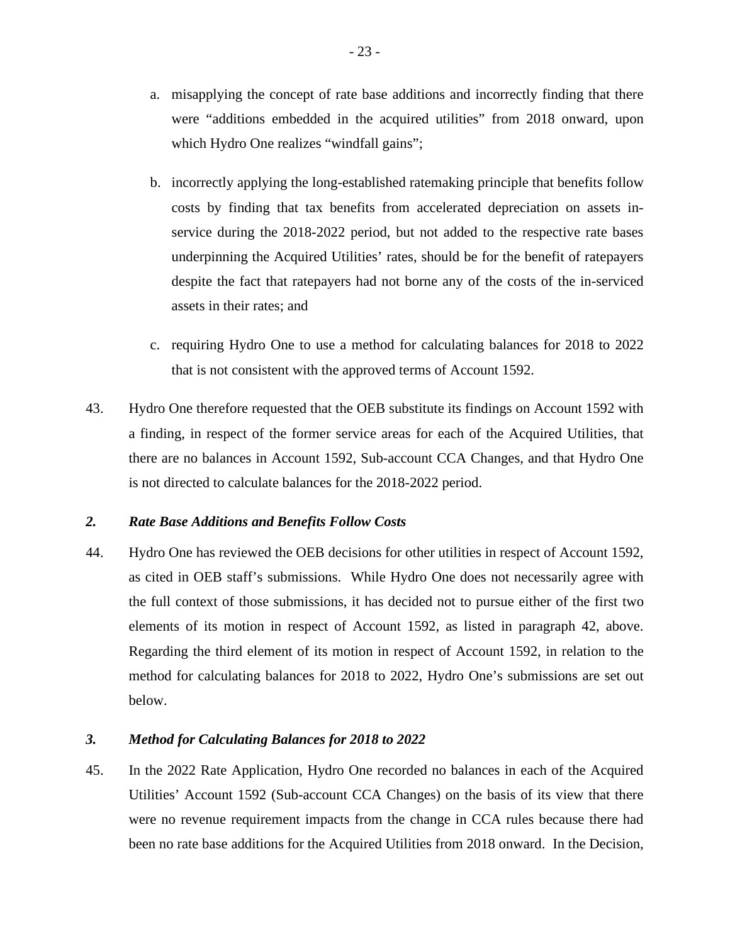- a. misapplying the concept of rate base additions and incorrectly finding that there were "additions embedded in the acquired utilities" from 2018 onward, upon which Hydro One realizes "windfall gains";
- b. incorrectly applying the long-established ratemaking principle that benefits follow costs by finding that tax benefits from accelerated depreciation on assets inservice during the 2018-2022 period, but not added to the respective rate bases underpinning the Acquired Utilities' rates, should be for the benefit of ratepayers despite the fact that ratepayers had not borne any of the costs of the in-serviced assets in their rates; and
- c. requiring Hydro One to use a method for calculating balances for 2018 to 2022 that is not consistent with the approved terms of Account 1592.
- 43. Hydro One therefore requested that the OEB substitute its findings on Account 1592 with a finding, in respect of the former service areas for each of the Acquired Utilities, that there are no balances in Account 1592, Sub-account CCA Changes, and that Hydro One is not directed to calculate balances for the 2018-2022 period.

## *2. Rate Base Additions and Benefits Follow Costs*

44. Hydro One has reviewed the OEB decisions for other utilities in respect of Account 1592, as cited in OEB staff's submissions. While Hydro One does not necessarily agree with the full context of those submissions, it has decided not to pursue either of the first two elements of its motion in respect of Account 1592, as listed in paragraph [42](#page-22-1), above. Regarding the third element of its motion in respect of Account 1592, in relation to the method for calculating balances for 2018 to 2022, Hydro One's submissions are set out below.

## *3. Method for Calculating Balances for 2018 to 2022*

45. In the 2022 Rate Application, Hydro One recorded no balances in each of the Acquired Utilities' Account 1592 (Sub-account CCA Changes) on the basis of its view that there were no revenue requirement impacts from the change in CCA rules because there had been no rate base additions for the Acquired Utilities from 2018 onward. In the Decision,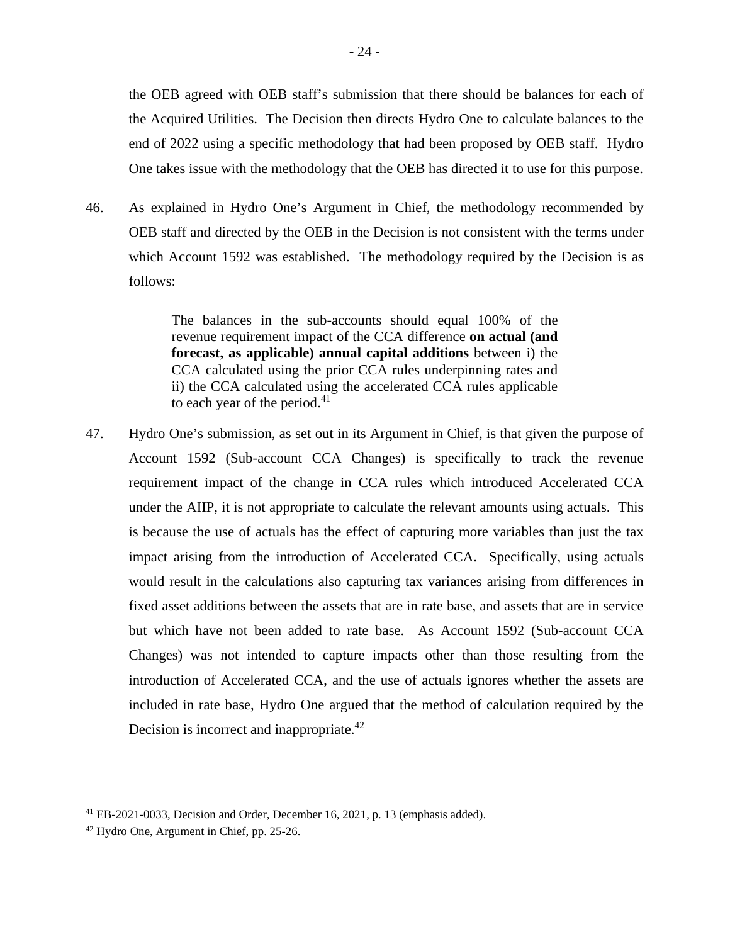the OEB agreed with OEB staff's submission that there should be balances for each of the Acquired Utilities. The Decision then directs Hydro One to calculate balances to the end of 2022 using a specific methodology that had been proposed by OEB staff. Hydro One takes issue with the methodology that the OEB has directed it to use for this purpose.

46. As explained in Hydro One's Argument in Chief, the methodology recommended by OEB staff and directed by the OEB in the Decision is not consistent with the terms under which Account 1592 was established. The methodology required by the Decision is as follows:

> The balances in the sub-accounts should equal 100% of the revenue requirement impact of the CCA difference **on actual (and forecast, as applicable) annual capital additions** between i) the CCA calculated using the prior CCA rules underpinning rates and ii) the CCA calculated using the accelerated CCA rules applicable to each year of the period.<sup>[41](#page-24-0)</sup>

47. Hydro One's submission, as set out in its Argument in Chief, is that given the purpose of Account 1592 (Sub-account CCA Changes) is specifically to track the revenue requirement impact of the change in CCA rules which introduced Accelerated CCA under the AIIP, it is not appropriate to calculate the relevant amounts using actuals. This is because the use of actuals has the effect of capturing more variables than just the tax impact arising from the introduction of Accelerated CCA. Specifically, using actuals would result in the calculations also capturing tax variances arising from differences in fixed asset additions between the assets that are in rate base, and assets that are in service but which have not been added to rate base. As Account 1592 (Sub-account CCA Changes) was not intended to capture impacts other than those resulting from the introduction of Accelerated CCA, and the use of actuals ignores whether the assets are included in rate base, Hydro One argued that the method of calculation required by the Decision is incorrect and inappropriate. $42$ 

<span id="page-24-0"></span><sup>41</sup> EB-2021-0033, Decision and Order, December 16, 2021, p. 13 (emphasis added).

<span id="page-24-1"></span><sup>42</sup> Hydro One, Argument in Chief, pp. 25-26.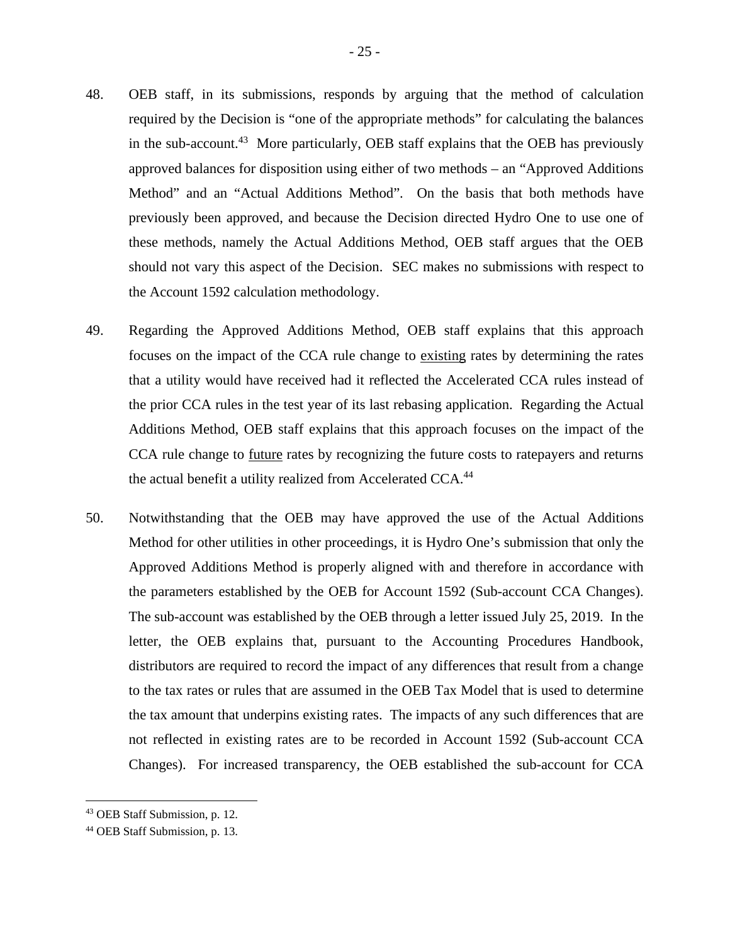- 48. OEB staff, in its submissions, responds by arguing that the method of calculation required by the Decision is "one of the appropriate methods" for calculating the balances in the sub-account.<sup>[43](#page-25-0)</sup> More particularly, OEB staff explains that the OEB has previously approved balances for disposition using either of two methods – an "Approved Additions Method" and an "Actual Additions Method". On the basis that both methods have previously been approved, and because the Decision directed Hydro One to use one of these methods, namely the Actual Additions Method, OEB staff argues that the OEB should not vary this aspect of the Decision. SEC makes no submissions with respect to the Account 1592 calculation methodology.
- 49. Regarding the Approved Additions Method, OEB staff explains that this approach focuses on the impact of the CCA rule change to existing rates by determining the rates that a utility would have received had it reflected the Accelerated CCA rules instead of the prior CCA rules in the test year of its last rebasing application. Regarding the Actual Additions Method, OEB staff explains that this approach focuses on the impact of the CCA rule change to future rates by recognizing the future costs to ratepayers and returns the actual benefit a utility realized from Accelerated CCA.<sup>[44](#page-25-1)</sup>
- 50. Notwithstanding that the OEB may have approved the use of the Actual Additions Method for other utilities in other proceedings, it is Hydro One's submission that only the Approved Additions Method is properly aligned with and therefore in accordance with the parameters established by the OEB for Account 1592 (Sub-account CCA Changes). The sub-account was established by the OEB through a letter issued July 25, 2019. In the letter, the OEB explains that, pursuant to the Accounting Procedures Handbook, distributors are required to record the impact of any differences that result from a change to the tax rates or rules that are assumed in the OEB Tax Model that is used to determine the tax amount that underpins existing rates. The impacts of any such differences that are not reflected in existing rates are to be recorded in Account 1592 (Sub-account CCA Changes). For increased transparency, the OEB established the sub-account for CCA

<span id="page-25-0"></span><sup>43</sup> OEB Staff Submission, p. 12.

<span id="page-25-1"></span><sup>44</sup> OEB Staff Submission, p. 13.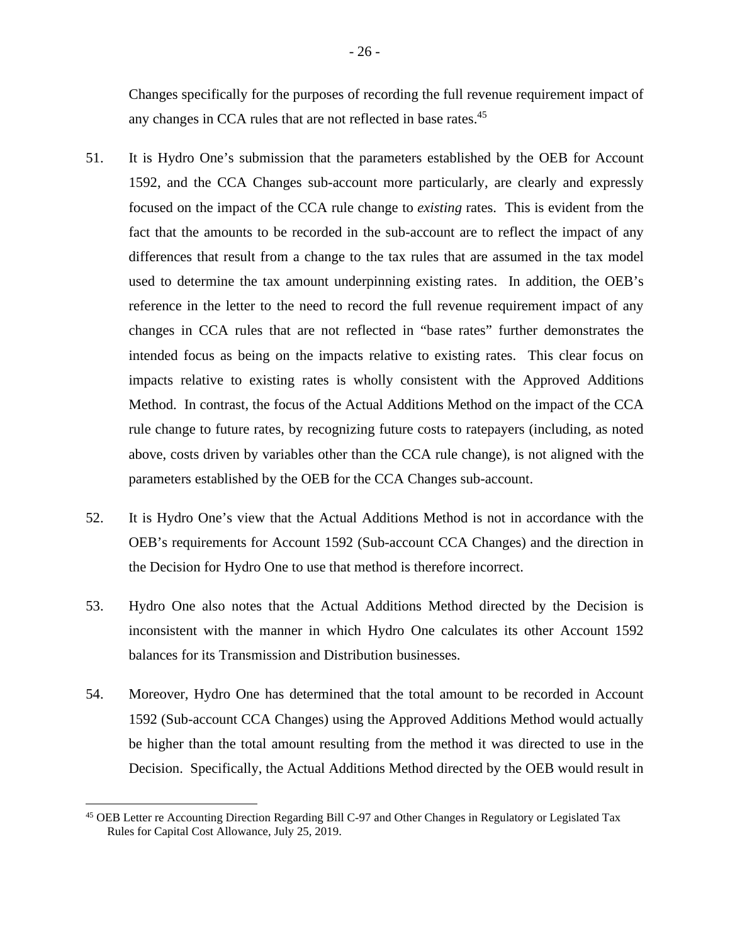Changes specifically for the purposes of recording the full revenue requirement impact of any changes in CCA rules that are not reflected in base rates.<sup>[45](#page-26-0)</sup>

- 51. It is Hydro One's submission that the parameters established by the OEB for Account 1592, and the CCA Changes sub-account more particularly, are clearly and expressly focused on the impact of the CCA rule change to *existing* rates. This is evident from the fact that the amounts to be recorded in the sub-account are to reflect the impact of any differences that result from a change to the tax rules that are assumed in the tax model used to determine the tax amount underpinning existing rates. In addition, the OEB's reference in the letter to the need to record the full revenue requirement impact of any changes in CCA rules that are not reflected in "base rates" further demonstrates the intended focus as being on the impacts relative to existing rates. This clear focus on impacts relative to existing rates is wholly consistent with the Approved Additions Method. In contrast, the focus of the Actual Additions Method on the impact of the CCA rule change to future rates, by recognizing future costs to ratepayers (including, as noted above, costs driven by variables other than the CCA rule change), is not aligned with the parameters established by the OEB for the CCA Changes sub-account.
- 52. It is Hydro One's view that the Actual Additions Method is not in accordance with the OEB's requirements for Account 1592 (Sub-account CCA Changes) and the direction in the Decision for Hydro One to use that method is therefore incorrect.
- 53. Hydro One also notes that the Actual Additions Method directed by the Decision is inconsistent with the manner in which Hydro One calculates its other Account 1592 balances for its Transmission and Distribution businesses.
- 54. Moreover, Hydro One has determined that the total amount to be recorded in Account 1592 (Sub-account CCA Changes) using the Approved Additions Method would actually be higher than the total amount resulting from the method it was directed to use in the Decision. Specifically, the Actual Additions Method directed by the OEB would result in

<span id="page-26-0"></span><sup>45</sup> OEB Letter re Accounting Direction Regarding Bill C-97 and Other Changes in Regulatory or Legislated Tax Rules for Capital Cost Allowance, July 25, 2019.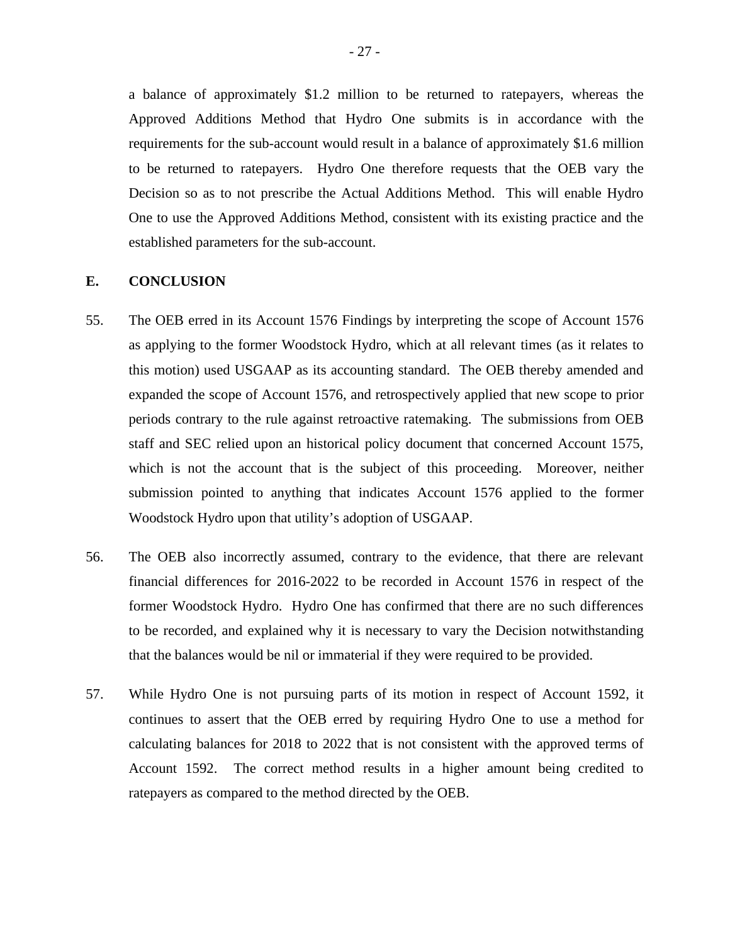a balance of approximately \$1.2 million to be returned to ratepayers, whereas the Approved Additions Method that Hydro One submits is in accordance with the requirements for the sub-account would result in a balance of approximately \$1.6 million to be returned to ratepayers. Hydro One therefore requests that the OEB vary the Decision so as to not prescribe the Actual Additions Method. This will enable Hydro One to use the Approved Additions Method, consistent with its existing practice and the established parameters for the sub-account.

#### **E. CONCLUSION**

- 55. The OEB erred in its Account 1576 Findings by interpreting the scope of Account 1576 as applying to the former Woodstock Hydro, which at all relevant times (as it relates to this motion) used USGAAP as its accounting standard. The OEB thereby amended and expanded the scope of Account 1576, and retrospectively applied that new scope to prior periods contrary to the rule against retroactive ratemaking. The submissions from OEB staff and SEC relied upon an historical policy document that concerned Account 1575, which is not the account that is the subject of this proceeding. Moreover, neither submission pointed to anything that indicates Account 1576 applied to the former Woodstock Hydro upon that utility's adoption of USGAAP.
- 56. The OEB also incorrectly assumed, contrary to the evidence, that there are relevant financial differences for 2016-2022 to be recorded in Account 1576 in respect of the former Woodstock Hydro. Hydro One has confirmed that there are no such differences to be recorded, and explained why it is necessary to vary the Decision notwithstanding that the balances would be nil or immaterial if they were required to be provided.
- 57. While Hydro One is not pursuing parts of its motion in respect of Account 1592, it continues to assert that the OEB erred by requiring Hydro One to use a method for calculating balances for 2018 to 2022 that is not consistent with the approved terms of Account 1592. The correct method results in a higher amount being credited to ratepayers as compared to the method directed by the OEB.